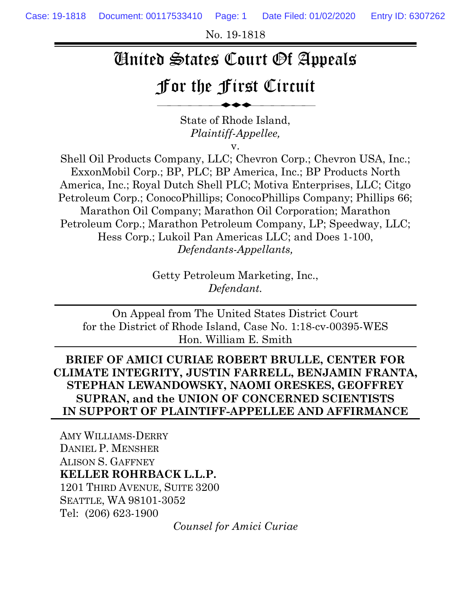No. 19-1818

# United States Court Of Appeals

# For the First Circuit

⎯⎯⎯⎯⎯⎯◆◆◆⎯⎯⎯⎯⎯⎯

State of Rhode Island, *Plaintiff-Appellee,*

v.

Shell Oil Products Company, LLC; Chevron Corp.; Chevron USA, Inc.; ExxonMobil Corp.; BP, PLC; BP America, Inc.; BP Products North America, Inc.; Royal Dutch Shell PLC; Motiva Enterprises, LLC; Citgo Petroleum Corp.; ConocoPhillips; ConocoPhillips Company; Phillips 66; Marathon Oil Company; Marathon Oil Corporation; Marathon Petroleum Corp.; Marathon Petroleum Company, LP; Speedway, LLC; Hess Corp.; Lukoil Pan Americas LLC; and Does 1-100, *Defendants-Appellants,*

> Getty Petroleum Marketing, Inc., *Defendant.*

On Appeal from The United States District Court for the District of Rhode Island, Case No. 1:18-cv-00395-WES Hon. William E. Smith

**BRIEF OF AMICI CURIAE ROBERT BRULLE, CENTER FOR CLIMATE INTEGRITY, JUSTIN FARRELL, BENJAMIN FRANTA, STEPHAN LEWANDOWSKY, NAOMI ORESKES, GEOFFREY SUPRAN, and the UNION OF CONCERNED SCIENTISTS IN SUPPORT OF PLAINTIFF-APPELLEE AND AFFIRMANCE**

AMY WILLIAMS-DERRY DANIEL P. MENSHER ALISON S. GAFFNEY **KELLER ROHRBACK L.L.P.** 1201 THIRD AVENUE, SUITE 3200 SEATTLE, WA 98101-3052 Tel: (206) 623-1900

*Counsel for Amici Curiae*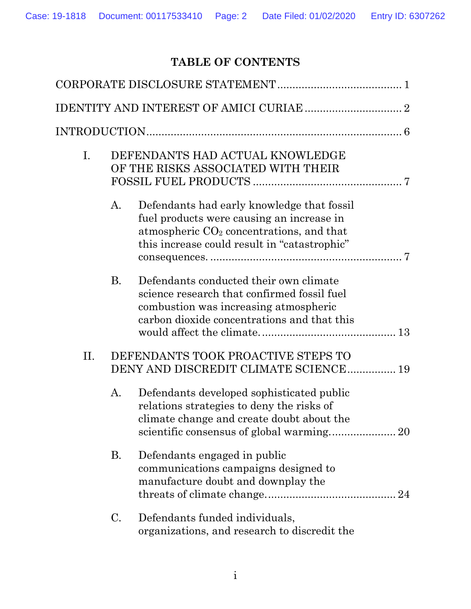# **TABLE OF CONTENTS**

| I.  | DEFENDANTS HAD ACTUAL KNOWLEDGE<br>OF THE RISKS ASSOCIATED WITH THEIR |                                                                                                                                                                                       |
|-----|-----------------------------------------------------------------------|---------------------------------------------------------------------------------------------------------------------------------------------------------------------------------------|
|     | A.                                                                    | Defendants had early knowledge that fossil<br>fuel products were causing an increase in<br>atmospheric $CO2$ concentrations, and that<br>this increase could result in "catastrophic" |
|     | <b>B.</b>                                                             | Defendants conducted their own climate<br>science research that confirmed fossil fuel<br>combustion was increasing atmospheric<br>carbon dioxide concentrations and that this         |
| II. |                                                                       | DEFENDANTS TOOK PROACTIVE STEPS TO<br>DENY AND DISCREDIT CLIMATE SCIENCE 19                                                                                                           |
|     | A.                                                                    | Defendants developed sophisticated public<br>relations strategies to deny the risks of<br>climate change and create doubt about the                                                   |
|     | <b>B.</b>                                                             | Defendants engaged in public<br>communications campaigns designed to<br>manufacture doubt and downplay the                                                                            |
|     | C.                                                                    | Defendants funded individuals,<br>organizations, and research to discredit the                                                                                                        |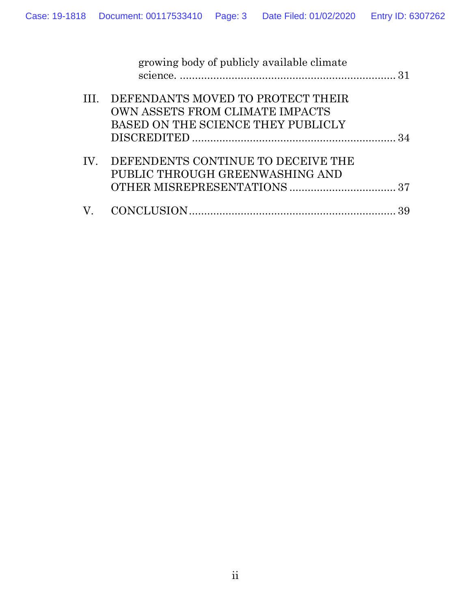|     | growing body of publicly available climate |  |
|-----|--------------------------------------------|--|
|     |                                            |  |
|     | III. DEFENDANTS MOVED TO PROTECT THEIR     |  |
|     | OWN ASSETS FROM CLIMATE IMPACTS            |  |
|     | BASED ON THE SCIENCE THEY PUBLICLY         |  |
|     |                                            |  |
| IV. | DEFENDENTS CONTINUE TO DECEIVE THE         |  |
|     | PUBLIC THROUGH GREENWASHING AND            |  |
|     |                                            |  |
|     |                                            |  |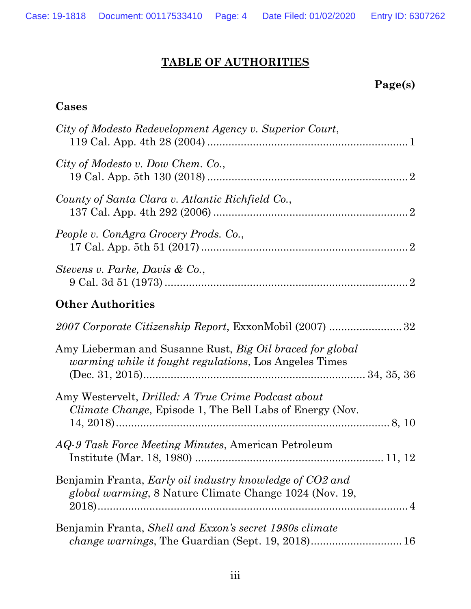# **TABLE OF AUTHORITIES**

## **Page(s)**

#### **Cases**

| City of Modesto Redevelopment Agency v. Superior Court,                                                                            |  |
|------------------------------------------------------------------------------------------------------------------------------------|--|
| City of Modesto v. Dow Chem. Co.,                                                                                                  |  |
| County of Santa Clara v. Atlantic Richfield Co.,                                                                                   |  |
| People v. ConAgra Grocery Prods. Co.,                                                                                              |  |
| Stevens v. Parke, Davis & Co.,                                                                                                     |  |
| <b>Other Authorities</b>                                                                                                           |  |
| 2007 Corporate Citizenship Report, ExxonMobil (2007)  32                                                                           |  |
| Amy Lieberman and Susanne Rust, <i>Big Oil braced for global</i><br><i>warming while it fought regulations</i> , Los Angeles Times |  |
| Amy Westervelt, <i>Drilled: A True Crime Podcast about</i><br><i>Climate Change</i> , Episode 1, The Bell Labs of Energy (Nov.     |  |
| AQ-9 Task Force Meeting Minutes, American Petroleum                                                                                |  |
| Benjamin Franta, Early oil industry knowledge of CO2 and<br>global warming, 8 Nature Climate Change 1024 (Nov. 19,                 |  |
| Benjamin Franta, Shell and Exxon's secret 1980s climate                                                                            |  |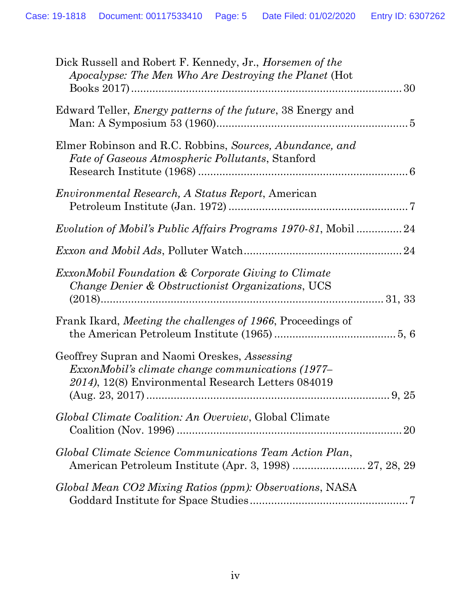| Dick Russell and Robert F. Kennedy, Jr., <i>Horsemen of the</i><br>Apocalypse: The Men Who Are Destroying the Planet (Hot                                      |
|----------------------------------------------------------------------------------------------------------------------------------------------------------------|
| Edward Teller, <i>Energy patterns of the future</i> , 38 Energy and                                                                                            |
| Elmer Robinson and R.C. Robbins, Sources, Abundance, and<br>Fate of Gaseous Atmospheric Pollutants, Stanford                                                   |
| <i>Environmental Research, A Status Report, American</i>                                                                                                       |
| Evolution of Mobil's Public Affairs Programs 1970-81, Mobil 24                                                                                                 |
|                                                                                                                                                                |
| <i>ExxonMobil Foundation &amp; Corporate Giving to Climate</i><br><i>Change Denier &amp; Obstructionist Organizations, UCS</i>                                 |
| Frank Ikard, Meeting the challenges of 1966, Proceedings of                                                                                                    |
| Geoffrey Supran and Naomi Oreskes, Assessing<br><i>ExxonMobil's climate change communications (1977–</i><br>2014), 12(8) Environmental Research Letters 084019 |
| Global Climate Coalition: An Overview, Global Climate<br>20                                                                                                    |
| Global Climate Science Communications Team Action Plan,<br>American Petroleum Institute (Apr. 3, 1998)  27, 28, 29                                             |
| Global Mean CO2 Mixing Ratios (ppm): Observations, NASA                                                                                                        |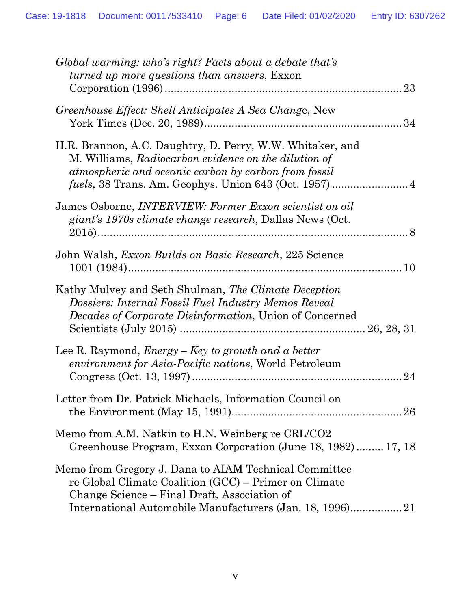| Global warming: who's right? Facts about a debate that's<br><i>turned up more questions than answers, Exxon</i>                                                                 |
|---------------------------------------------------------------------------------------------------------------------------------------------------------------------------------|
| Greenhouse Effect: Shell Anticipates A Sea Change, New                                                                                                                          |
| H.R. Brannon, A.C. Daughtry, D. Perry, W.W. Whitaker, and<br>M. Williams, Radiocarbon evidence on the dilution of<br>atmospheric and oceanic carbon by carbon from fossil       |
| James Osborne, <i>INTERVIEW</i> : Former Exxon scientist on oil<br>giant's 1970s climate change research, Dallas News (Oct.                                                     |
| John Walsh, <i>Exxon Builds on Basic Research</i> , 225 Science                                                                                                                 |
| Kathy Mulvey and Seth Shulman, The Climate Deception<br>Dossiers: Internal Fossil Fuel Industry Memos Reveal<br><i>Decades of Corporate Disinformation</i> , Union of Concerned |
| Lee R. Raymond, $Energy - Key$ to growth and a better<br>environment for Asia-Pacific nations, World Petroleum<br>24                                                            |
| Letter from Dr. Patrick Michaels, Information Council on                                                                                                                        |
| Memo from A.M. Natkin to H.N. Weinberg re CRL/CO2<br>Greenhouse Program, Exxon Corporation (June 18, 1982) 17, 18                                                               |
| Memo from Gregory J. Dana to AIAM Technical Committee<br>re Global Climate Coalition (GCC) – Primer on Climate<br>Change Science – Final Draft, Association of                  |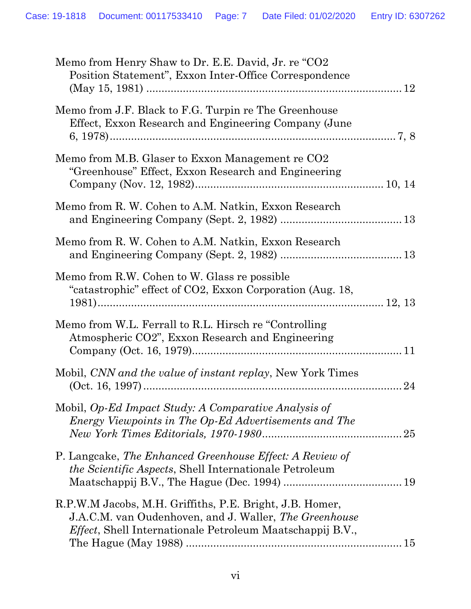| Memo from Henry Shaw to Dr. E.E. David, Jr. re "CO2<br>Position Statement", Exxon Inter-Office Correspondence                                                                           |  |
|-----------------------------------------------------------------------------------------------------------------------------------------------------------------------------------------|--|
| Memo from J.F. Black to F.G. Turpin re The Greenhouse<br>Effect, Exxon Research and Engineering Company (June                                                                           |  |
| Memo from M.B. Glaser to Exxon Management re CO2<br>"Greenhouse" Effect, Exxon Research and Engineering                                                                                 |  |
| Memo from R. W. Cohen to A.M. Natkin, Exxon Research                                                                                                                                    |  |
| Memo from R. W. Cohen to A.M. Natkin, Exxon Research                                                                                                                                    |  |
| Memo from R.W. Cohen to W. Glass re possible<br>"catastrophic" effect of CO2, Exxon Corporation (Aug. 18,                                                                               |  |
| Memo from W.L. Ferrall to R.L. Hirsch re "Controlling"<br>Atmospheric CO2", Exxon Research and Engineering                                                                              |  |
| Mobil, CNN and the value of instant replay, New York Times                                                                                                                              |  |
| Mobil, Op-Ed Impact Study: A Comparative Analysis of<br>Energy Viewpoints in The Op-Ed Advertisements and The                                                                           |  |
| P. Langcake, The Enhanced Greenhouse Effect: A Review of<br><i>the Scientific Aspects, Shell Internationale Petroleum</i>                                                               |  |
| R.P.W.M Jacobs, M.H. Griffiths, P.E. Bright, J.B. Homer,<br>J.A.C.M. van Oudenhoven, and J. Waller, The Greenhouse<br><i>Effect</i> , Shell Internationale Petroleum Maatschappij B.V., |  |
|                                                                                                                                                                                         |  |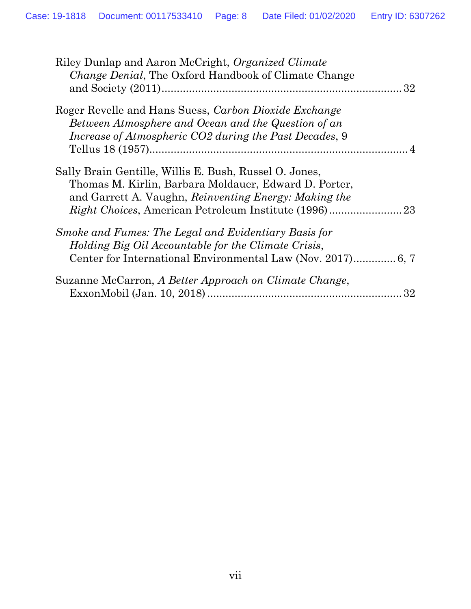| Riley Dunlap and Aaron McCright, Organized Climate<br><i>Change Denial</i> , The Oxford Handbook of Climate Change                                                       |    |
|--------------------------------------------------------------------------------------------------------------------------------------------------------------------------|----|
| Roger Revelle and Hans Suess, Carbon Dioxide Exchange<br>Between Atmosphere and Ocean and the Question of an<br>Increase of Atmospheric CO2 during the Past Decades, 9   |    |
| Sally Brain Gentille, Willis E. Bush, Russel O. Jones,<br>Thomas M. Kirlin, Barbara Moldauer, Edward D. Porter,<br>and Garrett A. Vaughn, Reinventing Energy: Making the |    |
| Smoke and Fumes: The Legal and Evidentiary Basis for<br>Holding Big Oil Accountable for the Climate Crisis,                                                              |    |
| Suzanne McCarron, A Better Approach on Climate Change,                                                                                                                   | 32 |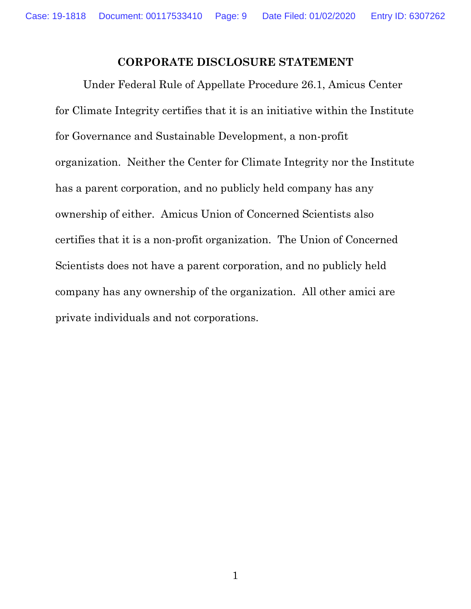#### **CORPORATE DISCLOSURE STATEMENT**

<span id="page-8-0"></span>Under Federal Rule of Appellate Procedure 26.1, Amicus Center for Climate Integrity certifies that it is an initiative within the Institute for Governance and Sustainable Development, a non-profit organization. Neither the Center for Climate Integrity nor the Institute has a parent corporation, and no publicly held company has any ownership of either. Amicus Union of Concerned Scientists also certifies that it is a non-profit organization. The Union of Concerned Scientists does not have a parent corporation, and no publicly held company has any ownership of the organization. All other amici are private individuals and not corporations.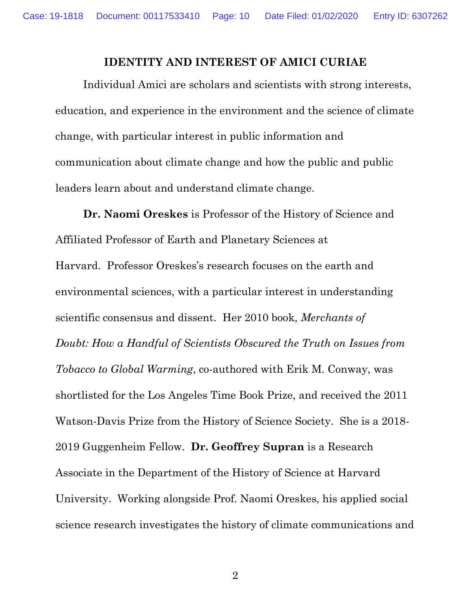#### **IDENTITY AND INTEREST OF AMICI CURIAE**

<span id="page-9-0"></span>Individual Amici are scholars and scientists with strong interests, education, and experience in the environment and the science of climate change, with particular interest in public information and communication about climate change and how the public and public leaders learn about and understand climate change.

**Dr. Naomi Oreskes** is Professor of the History of Science and Affiliated Professor of Earth and Planetary Sciences at Harvard. Professor Oreskes's research focuses on the earth and environmental sciences, with a particular interest in understanding scientific consensus and dissent. Her 2010 book, *Merchants of Doubt: How a Handful of Scientists Obscured the Truth on Issues from Tobacco to Global Warming*, co-authored with Erik M. Conway, was shortlisted for the Los Angeles Time Book Prize, and received the 2011 Watson-Davis Prize from the History of Science Society. She is a 2018- 2019 Guggenheim Fellow. **Dr. Geoffrey Supran** is a Research Associate in the Department of the History of Science at Harvard University. Working alongside Prof. Naomi Oreskes, his applied social science research investigates the history of climate communications and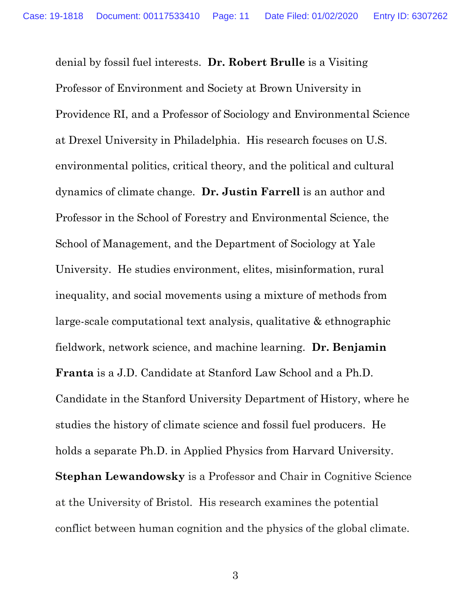denial by fossil fuel interests. **Dr. Robert Brulle** is a Visiting Professor of Environment and Society at Brown University in Providence RI, and a Professor of Sociology and Environmental Science at Drexel University in Philadelphia. His research focuses on U.S. environmental politics, critical theory, and the political and cultural dynamics of climate change. **Dr. Justin Farrell** is an author and Professor in the School of Forestry and Environmental Science, the School of Management, and the Department of Sociology at Yale University. He studies environment, elites, misinformation, rural inequality, and social movements using a mixture of methods from large-scale computational text analysis, qualitative & ethnographic fieldwork, network science, and machine learning. **Dr. Benjamin Franta** is a J.D. Candidate at Stanford Law School and a Ph.D. Candidate in the Stanford University Department of History, where he studies the history of climate science and fossil fuel producers. He holds a separate Ph.D. in Applied Physics from Harvard University. **Stephan Lewandowsky** is a Professor and Chair in Cognitive Science at the University of Bristol. His research examines the potential conflict between human cognition and the physics of the global climate.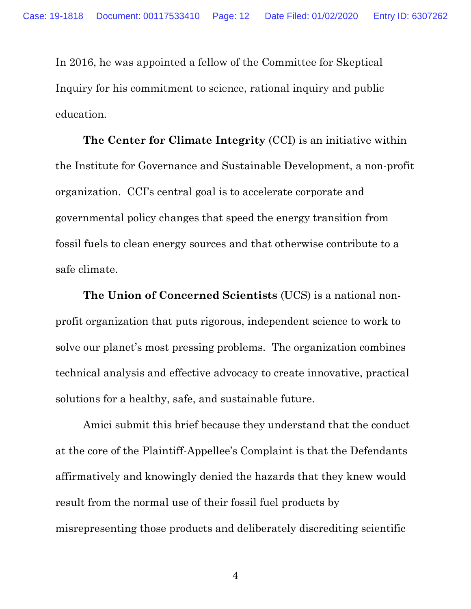In 2016, he was appointed a fellow of the Committee for Skeptical Inquiry for his commitment to science, rational inquiry and public education.

**The Center for Climate Integrity** (CCI) is an initiative within the Institute for Governance and Sustainable Development, a non-profit organization. CCI's central goal is to accelerate corporate and governmental policy changes that speed the energy transition from fossil fuels to clean energy sources and that otherwise contribute to a safe climate.

**The Union of Concerned Scientists** (UCS) is a national nonprofit organization that puts rigorous, independent science to work to solve our planet's most pressing problems. The organization combines technical analysis and effective advocacy to create innovative, practical solutions for a healthy, safe, and sustainable future.

Amici submit this brief because they understand that the conduct at the core of the Plaintiff-Appellee's Complaint is that the Defendants affirmatively and knowingly denied the hazards that they knew would result from the normal use of their fossil fuel products by misrepresenting those products and deliberately discrediting scientific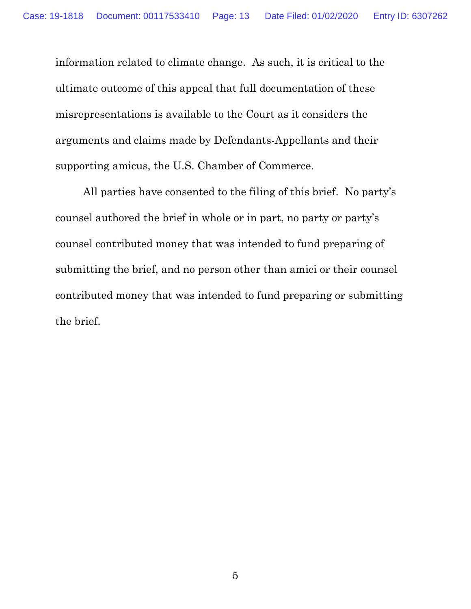information related to climate change. As such, it is critical to the ultimate outcome of this appeal that full documentation of these misrepresentations is available to the Court as it considers the arguments and claims made by Defendants-Appellants and their supporting amicus, the U.S. Chamber of Commerce.

All parties have consented to the filing of this brief. No party's counsel authored the brief in whole or in part, no party or party's counsel contributed money that was intended to fund preparing of submitting the brief, and no person other than amici or their counsel contributed money that was intended to fund preparing or submitting the brief.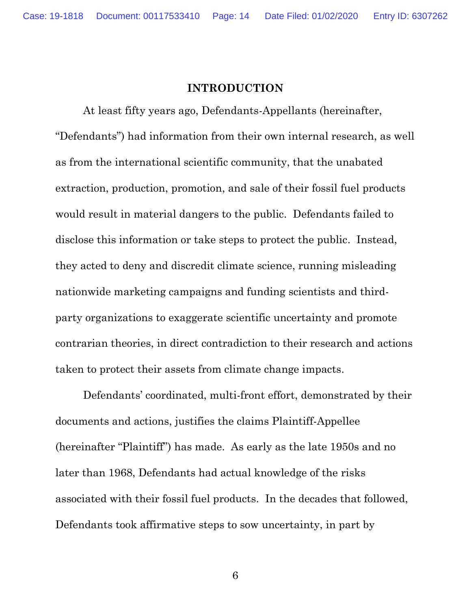#### **INTRODUCTION**

<span id="page-13-0"></span>At least fifty years ago, Defendants-Appellants (hereinafter, "Defendants") had information from their own internal research, as well as from the international scientific community, that the unabated extraction, production, promotion, and sale of their fossil fuel products would result in material dangers to the public. Defendants failed to disclose this information or take steps to protect the public. Instead, they acted to deny and discredit climate science, running misleading nationwide marketing campaigns and funding scientists and thirdparty organizations to exaggerate scientific uncertainty and promote contrarian theories, in direct contradiction to their research and actions taken to protect their assets from climate change impacts.

Defendants' coordinated, multi-front effort, demonstrated by their documents and actions, justifies the claims Plaintiff-Appellee (hereinafter "Plaintiff") has made. As early as the late 1950s and no later than 1968, Defendants had actual knowledge of the risks associated with their fossil fuel products. In the decades that followed, Defendants took affirmative steps to sow uncertainty, in part by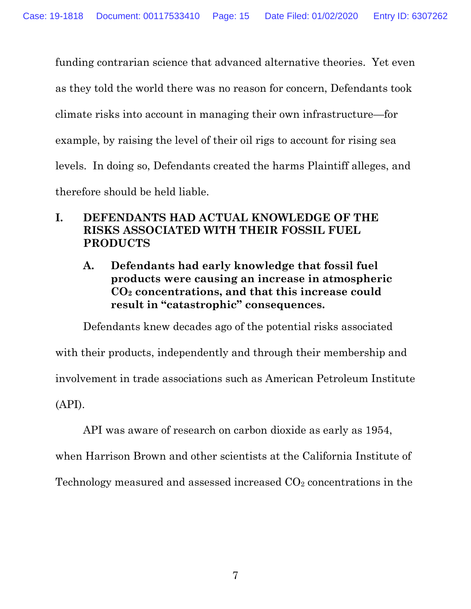funding contrarian science that advanced alternative theories. Yet even as they told the world there was no reason for concern, Defendants took climate risks into account in managing their own infrastructure—for example, by raising the level of their oil rigs to account for rising sea levels. In doing so, Defendants created the harms Plaintiff alleges, and therefore should be held liable.

### <span id="page-14-0"></span>**I. DEFENDANTS HAD ACTUAL KNOWLEDGE OF THE RISKS ASSOCIATED WITH THEIR FOSSIL FUEL PRODUCTS**

<span id="page-14-1"></span>**A. Defendants had early knowledge that fossil fuel products were causing an increase in atmospheric CO<sup>2</sup> concentrations, and that this increase could result in "catastrophic" consequences.** 

Defendants knew decades ago of the potential risks associated with their products, independently and through their membership and involvement in trade associations such as American Petroleum Institute (API).

API was aware of research on carbon dioxide as early as 1954, when Harrison Brown and other scientists at the California Institute of Technology measured and assessed increased  $CO<sub>2</sub>$  concentrations in the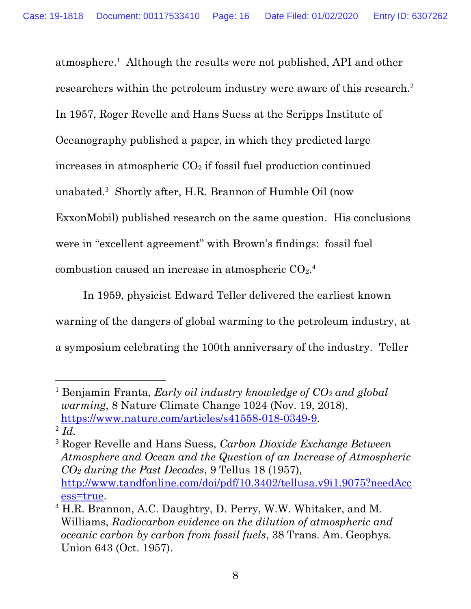atmosphere. 1 Although the results were not published, API and other researchers within the petroleum industry were aware of this research.<sup>2</sup> In 1957, Roger Revelle and Hans Suess at the Scripps Institute of Oceanography published a paper, in which they predicted large increases in atmospheric  $CO<sub>2</sub>$  if fossil fuel production continued unabated.<sup>3</sup> Shortly after, H.R. Brannon of Humble Oil (now ExxonMobil) published research on the same question. His conclusions were in "excellent agreement" with Brown's findings: fossil fuel combustion caused an increase in atmospheric  $CO<sub>2</sub>$ .<sup>4</sup>

In 1959, physicist Edward Teller delivered the earliest known warning of the dangers of global warming to the petroleum industry, at a symposium celebrating the 100th anniversary of the industry. Teller

<span id="page-15-0"></span><sup>1</sup> Benjamin Franta, *Early oil industry knowledge of CO<sup>2</sup> and global warming*, 8 Nature Climate Change 1024 (Nov. 19, 2018), [https://www.nature.com/articles/s41558-018-0349-9.](https://www.nature.com/articles/s41558-018-0349-9) 2 *Id.*

<span id="page-15-2"></span><sup>3</sup> Roger Revelle and Hans Suess, *Carbon Dioxide Exchange Between Atmosphere and Ocean and the Question of an Increase of Atmospheric CO<sup>2</sup> during the Past Decades*, 9 Tellus 18 (1957), [http://www.tandfonline.com/doi/pdf/10.3402/tellusa.v9i1.9075?needAcc](http://www.tandfonline.com/doi/pdf/10.3402/tellusa.v9i1.9075?needAccess=true) [ess=true.](http://www.tandfonline.com/doi/pdf/10.3402/tellusa.v9i1.9075?needAccess=true)

<span id="page-15-1"></span><sup>4</sup> H.R. Brannon, A.C. Daughtry, D. Perry, W.W. Whitaker, and M. Williams, *Radiocarbon evidence on the dilution of atmospheric and oceanic carbon by carbon from fossil fuels*, 38 Trans. Am. Geophys. Union 643 (Oct. 1957).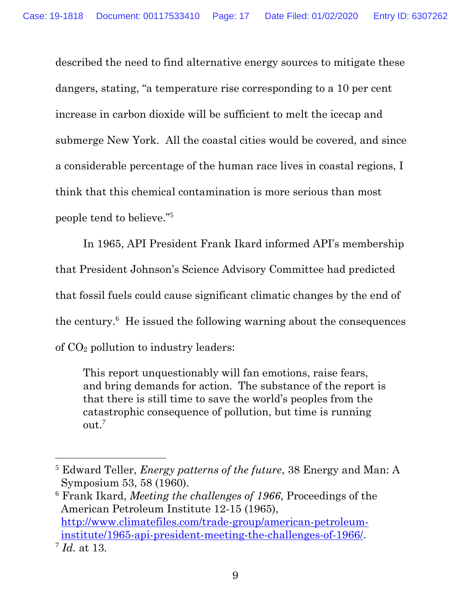described the need to find alternative energy sources to mitigate these dangers, stating, "a temperature rise corresponding to a 10 per cent increase in carbon dioxide will be sufficient to melt the icecap and submerge New York. All the coastal cities would be covered, and since a considerable percentage of the human race lives in coastal regions, I think that this chemical contamination is more serious than most people tend to believe."<sup>5</sup>

In 1965, API President Frank Ikard informed API's membership that President Johnson's Science Advisory Committee had predicted that fossil fuels could cause significant climatic changes by the end of the century.<sup>6</sup> He issued the following warning about the consequences of CO<sup>2</sup> pollution to industry leaders:

This report unquestionably will fan emotions, raise fears, and bring demands for action. The substance of the report is that there is still time to save the world's peoples from the catastrophic consequence of pollution, but time is running out.<sup>7</sup>

<span id="page-16-0"></span><sup>5</sup> Edward Teller, *Energy patterns of the future*, 38 Energy and Man: A Symposium 53, 58 (1960).

<span id="page-16-1"></span><sup>6</sup> Frank Ikard, *Meeting the challenges of 1966*, Proceedings of the American Petroleum Institute 12-15 (1965), [http://www.climatefiles.com/trade-group/american-petroleum](http://www.climatefiles.com/trade-group/american-petroleum-institute/1965-api-president-meeting-the-challenges-of-1966/)[institute/1965-api-president-meeting-the-challenges-of-1966/.](http://www.climatefiles.com/trade-group/american-petroleum-institute/1965-api-president-meeting-the-challenges-of-1966/)

<span id="page-16-2"></span><sup>7</sup> *Id.* at 13.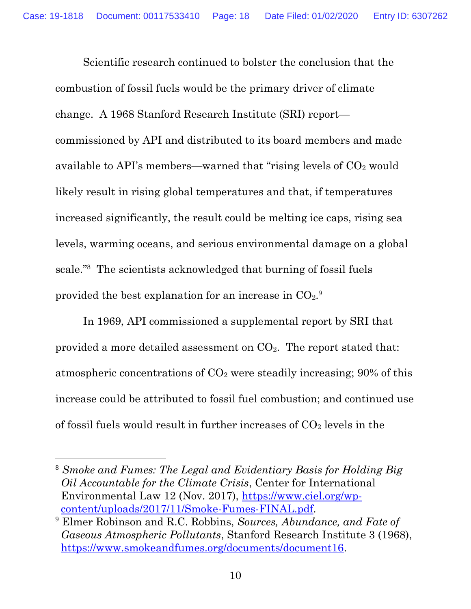Scientific research continued to bolster the conclusion that the combustion of fossil fuels would be the primary driver of climate change. A 1968 Stanford Research Institute (SRI) report commissioned by API and distributed to its board members and made available to API's members—warned that "rising levels of  $CO<sub>2</sub>$  would likely result in rising global temperatures and that, if temperatures increased significantly, the result could be melting ice caps, rising sea levels, warming oceans, and serious environmental damage on a global scale."<sup>8</sup> The scientists acknowledged that burning of fossil fuels provided the best explanation for an increase in  $CO<sub>2</sub>$ .

In 1969, API commissioned a supplemental report by SRI that provided a more detailed assessment on  $CO<sub>2</sub>$ . The report stated that: atmospheric concentrations of  $CO<sub>2</sub>$  were steadily increasing; 90% of this increase could be attributed to fossil fuel combustion; and continued use of fossil fuels would result in further increases of  $CO<sub>2</sub>$  levels in the

<span id="page-17-1"></span><sup>8</sup> *Smoke and Fumes: The Legal and Evidentiary Basis for Holding Big Oil Accountable for the Climate Crisis*, Center for International Environmental Law 12 (Nov. 2017), [https://www.ciel.org/wp](https://www.ciel.org/wp-content/uploads/2017/11/Smoke-Fumes-FINAL.pdf)[content/uploads/2017/11/Smoke-Fumes-FINAL.pdf.](https://www.ciel.org/wp-content/uploads/2017/11/Smoke-Fumes-FINAL.pdf)

<span id="page-17-0"></span><sup>9</sup> Elmer Robinson and R.C. Robbins, *Sources, Abundance, and Fate of Gaseous Atmospheric Pollutants*, Stanford Research Institute 3 (1968), [https://www.smokeandfumes.org/documents/document16.](https://www.smokeandfumes.org/documents/document16)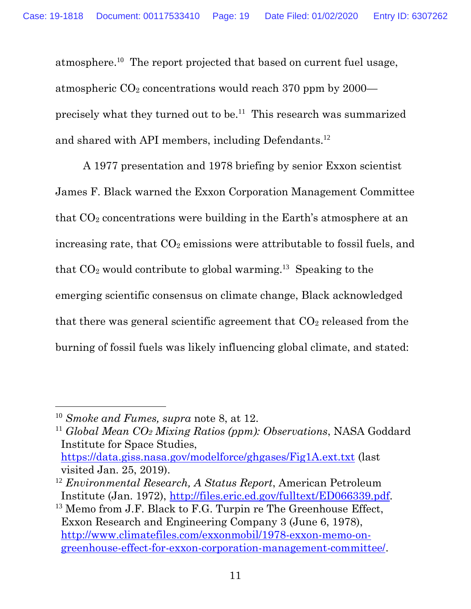atmosphere.<sup>10</sup> The report projected that based on current fuel usage, atmospheric  $CO<sub>2</sub>$  concentrations would reach 370 ppm by 2000 precisely what they turned out to be.<sup>11</sup> This research was summarized and shared with API members, including Defendants.<sup>12</sup>

A 1977 presentation and 1978 briefing by senior Exxon scientist James F. Black warned the Exxon Corporation Management Committee that  $CO<sub>2</sub>$  concentrations were building in the Earth's atmosphere at an increasing rate, that  $CO<sub>2</sub>$  emissions were attributable to fossil fuels, and that  $CO<sub>2</sub>$  would contribute to global warming.<sup>13</sup> Speaking to the emerging scientific consensus on climate change, Black acknowledged that there was general scientific agreement that  $CO<sub>2</sub>$  released from the burning of fossil fuels was likely influencing global climate, and stated:

<span id="page-18-3"></span><sup>10</sup> *Smoke and Fumes, supra* note 8, at 12.

<span id="page-18-1"></span><sup>11</sup> *Global Mean CO<sup>2</sup> Mixing Ratios (ppm): Observations*, NASA Goddard Institute for Space Studies, <https://data.giss.nasa.gov/modelforce/ghgases/Fig1A.ext.txt> (last visited Jan. 25, 2019).

<span id="page-18-0"></span><sup>12</sup> *Environmental Research, A Status Report*, American Petroleum Institute (Jan. 1972), [http://files.eric.ed.gov/fulltext/ED066339.pdf.](files.eric.ed.gov/fulltext/ED066339.pdf)

<span id="page-18-2"></span><sup>&</sup>lt;sup>13</sup> Memo from J.F. Black to F.G. Turpin re The Greenhouse Effect, Exxon Research and Engineering Company 3 (June 6, 1978), [http://www.climatefiles.com/exxonmobil/1978-exxon-memo-on](http://www.climatefiles.com/exxonmobil/1978-exxon-memo-on-greenhouse-effect-for-exxon-corporation-management-committee/)[greenhouse-effect-for-exxon-corporation-management-committee/.](http://www.climatefiles.com/exxonmobil/1978-exxon-memo-on-greenhouse-effect-for-exxon-corporation-management-committee/)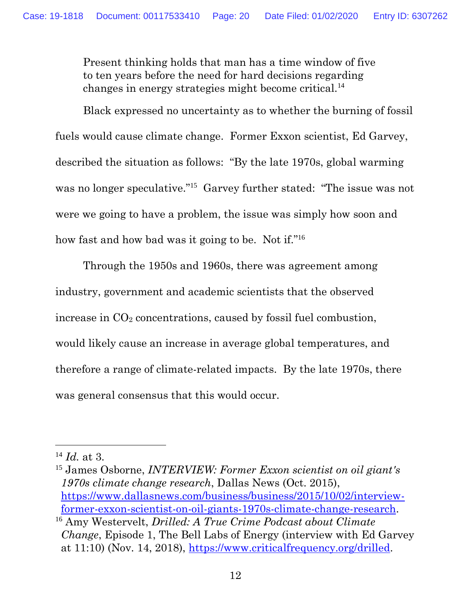Present thinking holds that man has a time window of five to ten years before the need for hard decisions regarding changes in energy strategies might become critical.<sup>14</sup>

Black expressed no uncertainty as to whether the burning of fossil fuels would cause climate change. Former Exxon scientist, Ed Garvey, described the situation as follows: "By the late 1970s, global warming was no longer speculative."<sup>15</sup> Garvey further stated: "The issue was not were we going to have a problem, the issue was simply how soon and how fast and how bad was it going to be. Not if."<sup>16</sup>

Through the 1950s and 1960s, there was agreement among industry, government and academic scientists that the observed increase in  $CO<sub>2</sub>$  concentrations, caused by fossil fuel combustion, would likely cause an increase in average global temperatures, and therefore a range of climate-related impacts. By the late 1970s, there was general consensus that this would occur.

<span id="page-19-2"></span><sup>14</sup> *Id.* at 3.

<span id="page-19-1"></span><sup>15</sup> James Osborne, *INTERVIEW: Former Exxon scientist on oil giant's 1970s climate change research*, Dallas News (Oct. 2015), [https://www.dallasnews.com/business/business/2015/10/02/interview](https://www.dallasnews.com/business/business/2015/10/02/interview-former-exxon-scientist-on-oil-giants-1970s-climate-change-research)[former-exxon-scientist-on-oil-giants-1970s-climate-change-research.](https://www.dallasnews.com/business/business/2015/10/02/interview-former-exxon-scientist-on-oil-giants-1970s-climate-change-research) <sup>16</sup> Amy Westervelt, *Drilled: A True Crime Podcast about Climate* 

<span id="page-19-0"></span>*Change*, Episode 1, The Bell Labs of Energy (interview with Ed Garvey at 11:10) (Nov. 14, 2018), [https://www.criticalfrequency.org/drilled.](https://www.criticalfrequency.org/drilled)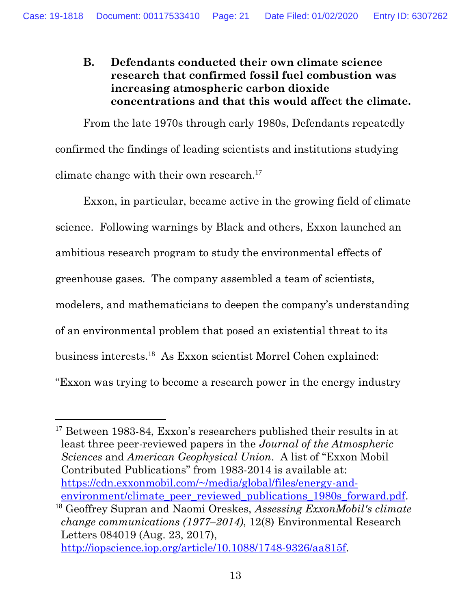#### <span id="page-20-0"></span>**B. Defendants conducted their own climate science research that confirmed fossil fuel combustion was increasing atmospheric carbon dioxide concentrations and that this would affect the climate.**

From the late 1970s through early 1980s, Defendants repeatedly confirmed the findings of leading scientists and institutions studying climate change with their own research. 17

Exxon, in particular, became active in the growing field of climate science. Following warnings by Black and others, Exxon launched an ambitious research program to study the environmental effects of greenhouse gases. The company assembled a team of scientists, modelers, and mathematicians to deepen the company's understanding of an environmental problem that posed an existential threat to its business interests.<sup>18</sup> As Exxon scientist Morrel Cohen explained: "Exxon was trying to become a research power in the energy industry

<span id="page-20-1"></span><sup>&</sup>lt;sup>17</sup> Between 1983-84, Exxon's researchers published their results in at least three peer-reviewed papers in the *Journal of the Atmospheric Sciences* and *American Geophysical Union*. A list of "Exxon Mobil Contributed Publications" from 1983-2014 is available at: [https://cdn.exxonmobil.com/~/media/global/files/energy-and](https://cdn.exxonmobil.com/~/media/global/files/energy-and-environment/climate_peer_reviewed_publications_1980s_forward.pdf)environment/climate peer reviewed publications 1980s forward.pdf. <sup>18</sup> Geoffrey Supran and Naomi Oreskes, *Assessing ExxonMobil's climate change communications (1977–2014)*, 12(8) Environmental Research Letters 084019 (Aug. 23, 2017), [http://iopscience.iop.org/article/10.1088/1748-9326/aa815f.](http://iopscience.iop.org/article/10.1088/1748-9326/aa815f)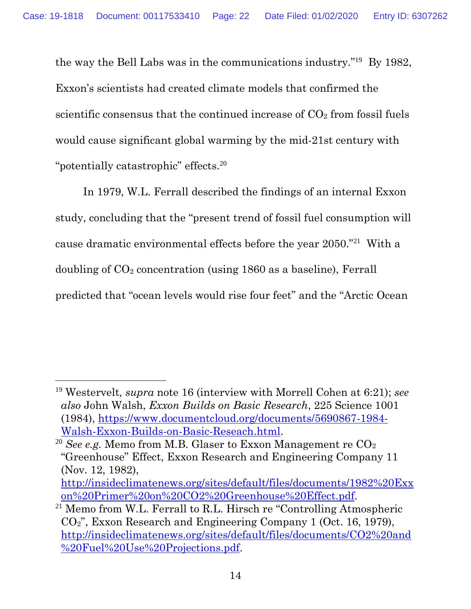the way the Bell Labs was in the communications industry."<sup>19</sup> By 1982, Exxon's scientists had created climate models that confirmed the scientific consensus that the continued increase of  $CO<sub>2</sub>$  from fossil fuels would cause significant global warming by the mid-21st century with "potentially catastrophic" effects.<sup>20</sup>

In 1979, W.L. Ferrall described the findings of an internal Exxon study, concluding that the "present trend of fossil fuel consumption will cause dramatic environmental effects before the year 2050."<sup>21</sup> With a doubling of CO<sub>2</sub> concentration (using 1860 as a baseline), Ferrall predicted that "ocean levels would rise four feet" and the "Arctic Ocean

<span id="page-21-1"></span><span id="page-21-0"></span><sup>19</sup> Westervelt*, supra* note 16 (interview with Morrell Cohen at 6:21); *see also* John Walsh, *Exxon Builds on Basic Research*, 225 Science 1001 (1984), [https://www.documentcloud.org/documents/5690867-1984-](https://www.documentcloud.org/documents/5690867-1984-Walsh-Exxon-Builds-on-Basic-Reseach.html) [Walsh-Exxon-Builds-on-Basic-Reseach.html.](https://www.documentcloud.org/documents/5690867-1984-Walsh-Exxon-Builds-on-Basic-Reseach.html)

<span id="page-21-2"></span><sup>&</sup>lt;sup>20</sup> *See e.g.* Memo from M.B. Glaser to Exxon Management re CO<sub>2</sub> "Greenhouse" Effect, Exxon Research and Engineering Company 11 (Nov. 12, 1982),

[http://insideclimatenews.org/sites/default/files/documents/1982%20Exx](insideclimatenews.org/sites/default/files/documents/1982%20Exxon%20Primer%20on%20CO2%20Greenhouse%20Effect.pdf) [on%20Primer%20on%20CO2%20Greenhouse%20Effect.pdf.](insideclimatenews.org/sites/default/files/documents/1982%20Exxon%20Primer%20on%20CO2%20Greenhouse%20Effect.pdf)

<span id="page-21-3"></span><sup>21</sup> Memo from W.L. Ferrall to R.L. Hirsch re "Controlling Atmospheric CO2", Exxon Research and Engineering Company 1 (Oct. 16, 1979), [http://insideclimatenews.org/sites/default/files/documents/CO2%20and](insideclimatenews.org/sites/default/files/documents/CO2%20and%20Fuel%20Use%20Projections.pdf) [%20Fuel%20Use%20Projections.pdf.](insideclimatenews.org/sites/default/files/documents/CO2%20and%20Fuel%20Use%20Projections.pdf)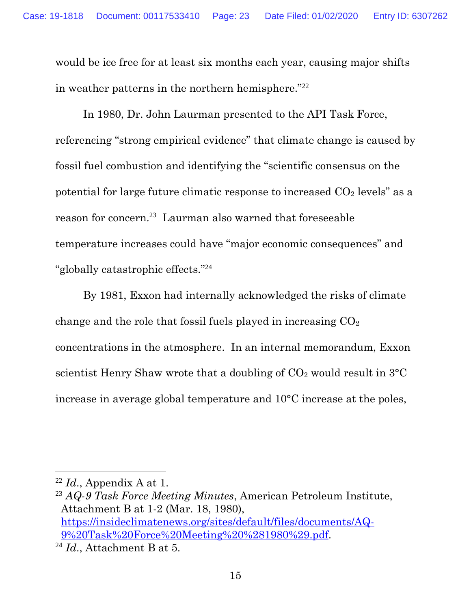would be ice free for at least six months each year, causing major shifts in weather patterns in the northern hemisphere."<sup>22</sup>

In 1980, Dr. John Laurman presented to the API Task Force, referencing "strong empirical evidence" that climate change is caused by fossil fuel combustion and identifying the "scientific consensus on the potential for large future climatic response to increased  $CO<sub>2</sub>$  levels" as a reason for concern.<sup>23</sup> Laurman also warned that foreseeable temperature increases could have "major economic consequences" and "globally catastrophic effects." 24

By 1981, Exxon had internally acknowledged the risks of climate change and the role that fossil fuels played in increasing  $CO<sub>2</sub>$ concentrations in the atmosphere. In an internal memorandum, Exxon scientist Henry Shaw wrote that a doubling of  $CO<sub>2</sub>$  would result in  $3°C$ increase in average global temperature and 10°C increase at the poles,

 $^{22}$  *Id.*, Appendix A at 1.

<span id="page-22-0"></span><sup>23</sup> *AQ-9 Task Force Meeting Minutes*, American Petroleum Institute, Attachment B at 1-2 (Mar. 18, 1980), [https://insideclimatenews.org/sites/default/files/documents/AQ-](https://insideclimatenews.org/sites/default/files/documents/AQ-9%20Task%20Force%20Meeting%20%281980%29.pdf)[9%20Task%20Force%20Meeting%20%281980%29.pdf.](https://insideclimatenews.org/sites/default/files/documents/AQ-9%20Task%20Force%20Meeting%20%281980%29.pdf)

<span id="page-22-1"></span><sup>24</sup> *Id*., Attachment B at 5.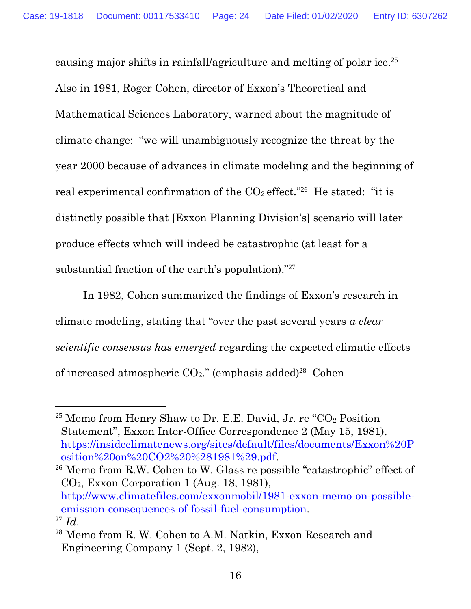causing major shifts in rainfall/agriculture and melting of polar ice.<sup>25</sup> Also in 1981, Roger Cohen, director of Exxon's Theoretical and Mathematical Sciences Laboratory, warned about the magnitude of climate change: "we will unambiguously recognize the threat by the year 2000 because of advances in climate modeling and the beginning of real experimental confirmation of the  $CO_2$  effect."<sup>26</sup> He stated: "it is distinctly possible that [Exxon Planning Division's] scenario will later produce effects which will indeed be catastrophic (at least for a substantial fraction of the earth's population)."<sup>27</sup>

In 1982, Cohen summarized the findings of Exxon's research in climate modeling, stating that "over the past several years *a clear scientific consensus has emerged* regarding the expected climatic effects of increased atmospheric  $CO<sub>2</sub>$ ." (emphasis added)<sup>28</sup> Cohen

 $\overline{a}$ 

<span id="page-23-2"></span><sup>26</sup> Memo from R.W. Cohen to W. Glass re possible "catastrophic" effect of CO2, Exxon Corporation 1 (Aug. 18, 1981), [http://www.climatefiles.com/exxonmobil/1981-exxon-memo-on-possible](http://www.climatefiles.com/exxonmobil/1981-exxon-memo-on-possible-emission-consequences-of-fossil-fuel-consumption)[emission-consequences-of-fossil-fuel-consumption.](http://www.climatefiles.com/exxonmobil/1981-exxon-memo-on-possible-emission-consequences-of-fossil-fuel-consumption) <sup>27</sup> *Id*.

<span id="page-23-0"></span><sup>&</sup>lt;sup>25</sup> Memo from Henry Shaw to Dr. E.E. David, Jr. re "CO<sub>2</sub> Position Statement", Exxon Inter-Office Correspondence 2 (May 15, 1981), [https://insideclimatenews.org/sites/default/files/documents/Exxon%20P](https://insideclimatenews.org/sites/default/files/documents/Exxon%20Position%20on%20CO2%20%281981%29.pdf) [osition%20on%20CO2%20%281981%29.pdf.](https://insideclimatenews.org/sites/default/files/documents/Exxon%20Position%20on%20CO2%20%281981%29.pdf)

<span id="page-23-3"></span><span id="page-23-1"></span><sup>28</sup> Memo from R. W. Cohen to A.M. Natkin, Exxon Research and Engineering Company 1 (Sept. 2, 1982),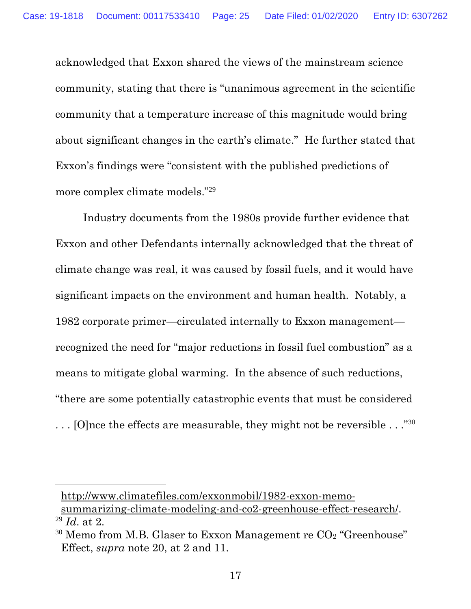acknowledged that Exxon shared the views of the mainstream science community, stating that there is "unanimous agreement in the scientific community that a temperature increase of this magnitude would bring about significant changes in the earth's climate." He further stated that Exxon's findings were "consistent with the published predictions of more complex climate models." 29

Industry documents from the 1980s provide further evidence that Exxon and other Defendants internally acknowledged that the threat of climate change was real, it was caused by fossil fuels, and it would have significant impacts on the environment and human health. Notably, a 1982 corporate primer—circulated internally to Exxon management recognized the need for "major reductions in fossil fuel combustion" as a means to mitigate global warming. In the absence of such reductions, "there are some potentially catastrophic events that must be considered  $\ldots$  [O]nce the effects are measurable, they might not be reversible  $\ldots$ ."<sup>30</sup>

[http://www.climatefiles.com/exxonmobil/1982-exxon-memo](http://www.climatefiles.com/exxonmobil/1982-exxon-memo-summarizing-climate-modeling-and-co2-greenhouse-effect-research/)[summarizing-climate-modeling-and-co2-greenhouse-effect-research/.](http://www.climatefiles.com/exxonmobil/1982-exxon-memo-summarizing-climate-modeling-and-co2-greenhouse-effect-research/) <sup>29</sup> *Id*. at 2.

<span id="page-24-1"></span><span id="page-24-0"></span> $30$  Memo from M.B. Glaser to Exxon Management re  $CO<sub>2</sub>$  "Greenhouse" Effect, *supra* note 20, at 2 and 11.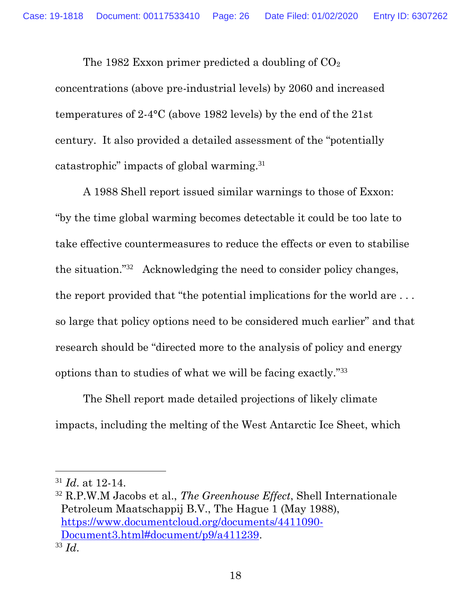The 1982 Exxon primer predicted a doubling of  $CO<sub>2</sub>$ concentrations (above pre-industrial levels) by 2060 and increased temperatures of 2-4°C (above 1982 levels) by the end of the 21st century. It also provided a detailed assessment of the "potentially catastrophic" impacts of global warming.<sup>31</sup>

A 1988 Shell report issued similar warnings to those of Exxon: "by the time global warming becomes detectable it could be too late to take effective countermeasures to reduce the effects or even to stabilise the situation."<sup>32</sup> Acknowledging the need to consider policy changes, the report provided that "the potential implications for the world are . . . so large that policy options need to be considered much earlier" and that research should be "directed more to the analysis of policy and energy options than to studies of what we will be facing exactly."<sup>33</sup>

The Shell report made detailed projections of likely climate impacts, including the melting of the West Antarctic Ice Sheet, which

<sup>31</sup> *Id*. at 12-14.

<sup>32</sup> R.P.W.M Jacobs et al., *The Greenhouse Effect*, Shell Internationale Petroleum Maatschappij B.V., The Hague 1 (May 1988), [https://www.documentcloud.org/documents/4411090-](https://www.documentcloud.org/documents/4411090-Document3.html#document/p9/a411239) [Document3.html#document/p9/a411239.](https://www.documentcloud.org/documents/4411090-Document3.html#document/p9/a411239) <sup>33</sup> *Id*.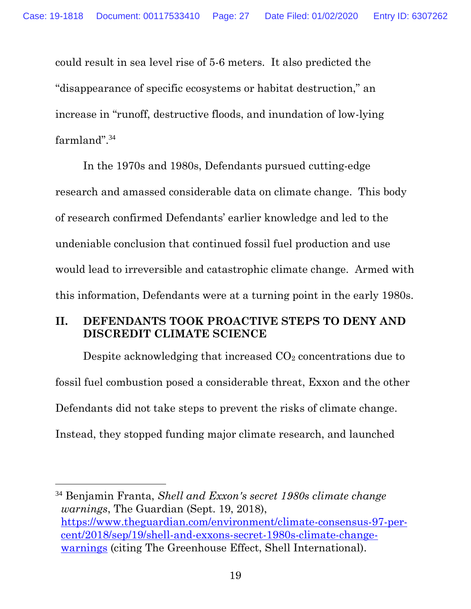could result in sea level rise of 5-6 meters. It also predicted the "disappearance of specific ecosystems or habitat destruction," an increase in "runoff, destructive floods, and inundation of low-lying farmland".<sup>34</sup>

In the 1970s and 1980s, Defendants pursued cutting-edge research and amassed considerable data on climate change. This body of research confirmed Defendants' earlier knowledge and led to the undeniable conclusion that continued fossil fuel production and use would lead to irreversible and catastrophic climate change. Armed with this information, Defendants were at a turning point in the early 1980s.

#### <span id="page-26-0"></span>**II. DEFENDANTS TOOK PROACTIVE STEPS TO DENY AND DISCREDIT CLIMATE SCIENCE**

Despite acknowledging that increased  $CO<sub>2</sub>$  concentrations due to fossil fuel combustion posed a considerable threat, Exxon and the other Defendants did not take steps to prevent the risks of climate change. Instead, they stopped funding major climate research, and launched

<span id="page-26-1"></span><sup>34</sup> Benjamin Franta, *Shell and Exxon's secret 1980s climate change warnings*, The Guardian (Sept. 19, 2018), [https://www.theguardian.com/environment/climate-consensus-97-per](https://www.theguardian.com/environment/climate-consensus-97-per-cent/2018/sep/19/shell-and-exxons-secret-1980s-climate-change-warnings)[cent/2018/sep/19/shell-and-exxons-secret-1980s-climate-change](https://www.theguardian.com/environment/climate-consensus-97-per-cent/2018/sep/19/shell-and-exxons-secret-1980s-climate-change-warnings)[warnings](https://www.theguardian.com/environment/climate-consensus-97-per-cent/2018/sep/19/shell-and-exxons-secret-1980s-climate-change-warnings) (citing The Greenhouse Effect, Shell International).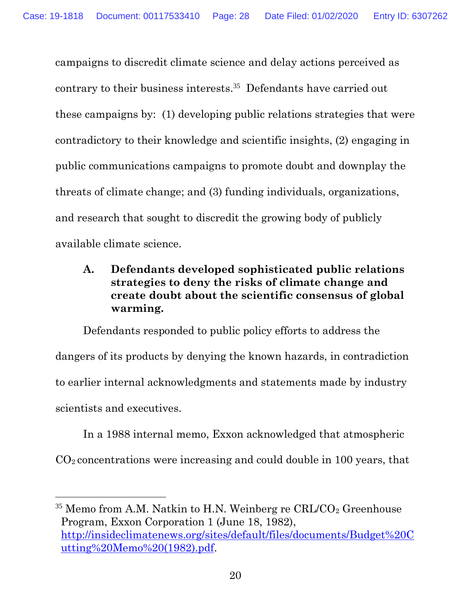campaigns to discredit climate science and delay actions perceived as contrary to their business interests. 35 Defendants have carried out these campaigns by: (1) developing public relations strategies that were contradictory to their knowledge and scientific insights, (2) engaging in public communications campaigns to promote doubt and downplay the threats of climate change; and (3) funding individuals, organizations, and research that sought to discredit the growing body of publicly available climate science.

### <span id="page-27-0"></span>**A. Defendants developed sophisticated public relations strategies to deny the risks of climate change and create doubt about the scientific consensus of global warming.**

Defendants responded to public policy efforts to address the dangers of its products by denying the known hazards, in contradiction to earlier internal acknowledgments and statements made by industry scientists and executives.

In a 1988 internal memo, Exxon acknowledged that atmospheric CO2 concentrations were increasing and could double in 100 years, that

<span id="page-27-1"></span> $35$  Memo from A.M. Natkin to H.N. Weinberg re CRL/CO<sub>2</sub> Greenhouse Program, Exxon Corporation 1 (June 18, 1982), [http://insideclimatenews.org/sites/default/files/documents/Budget%20C](insideclimatenews.org/sites/default/files/documents/Budget%20Cutting%20Memo%20(1982).pdf) [utting%20Memo%20\(1982\).pdf.](insideclimatenews.org/sites/default/files/documents/Budget%20Cutting%20Memo%20(1982).pdf)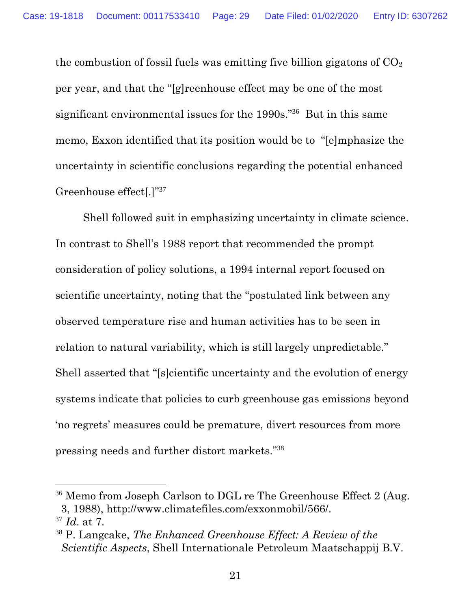the combustion of fossil fuels was emitting five billion gigatons of  $CO<sub>2</sub>$ per year, and that the "[g]reenhouse effect may be one of the most significant environmental issues for the 1990s."<sup>36</sup> But in this same memo, Exxon identified that its position would be to "[e]mphasize the uncertainty in scientific conclusions regarding the potential enhanced Greenhouse effect[.]"<sup>37</sup>

Shell followed suit in emphasizing uncertainty in climate science. In contrast to Shell's 1988 report that recommended the prompt consideration of policy solutions, a 1994 internal report focused on scientific uncertainty, noting that the "postulated link between any observed temperature rise and human activities has to be seen in relation to natural variability, which is still largely unpredictable." Shell asserted that "[s]cientific uncertainty and the evolution of energy systems indicate that policies to curb greenhouse gas emissions beyond 'no regrets' measures could be premature, divert resources from more pressing needs and further distort markets."<sup>38</sup>

<sup>&</sup>lt;sup>36</sup> Memo from Joseph Carlson to DGL re The Greenhouse Effect 2 (Aug. 3, 1988), http://www.climatefiles.com/exxonmobil/566/. <sup>37</sup> *Id*. at 7.

<span id="page-28-0"></span><sup>38</sup> P. Langcake, *The Enhanced Greenhouse Effect: A Review of the Scientific Aspects*, Shell Internationale Petroleum Maatschappij B.V.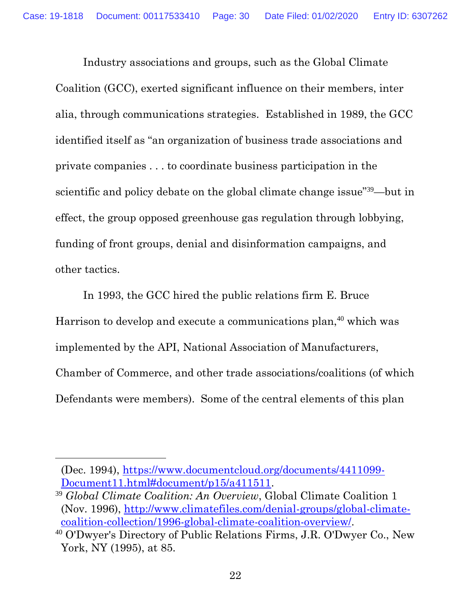Industry associations and groups, such as the Global Climate Coalition (GCC), exerted significant influence on their members, inter alia, through communications strategies. Established in 1989, the GCC identified itself as "an organization of business trade associations and private companies . . . to coordinate business participation in the scientific and policy debate on the global climate change issue"<sup>39</sup>—but in effect, the group opposed greenhouse gas regulation through lobbying, funding of front groups, denial and disinformation campaigns, and other tactics.

In 1993, the GCC hired the public relations firm E. Bruce Harrison to develop and execute a communications plan, <sup>40</sup> which was implemented by the API, National Association of Manufacturers, Chamber of Commerce, and other trade associations/coalitions (of which Defendants were members). Some of the central elements of this plan

<sup>(</sup>Dec. 1994), [https://www.documentcloud.org/documents/4411099-](https://www.documentcloud.org/documents/4411099-Document11.html#document/p15/a411511) [Document11.html#document/p15/a411511.](https://www.documentcloud.org/documents/4411099-Document11.html#document/p15/a411511)

<span id="page-29-0"></span><sup>39</sup> *Global Climate Coalition: An Overview*, Global Climate Coalition 1 (Nov. 1996), [http://www.climatefiles.com/denial-groups/global-climate](http://www.climatefiles.com/denial-groups/global-climate-coalition-collection/1996-global-climate-coalition-overview/)[coalition-collection/1996-global-climate-coalition-overview/.](http://www.climatefiles.com/denial-groups/global-climate-coalition-collection/1996-global-climate-coalition-overview/)

<sup>40</sup> O'Dwyer's Directory of Public Relations Firms, J.R. O'Dwyer Co., New York, NY (1995), at 85.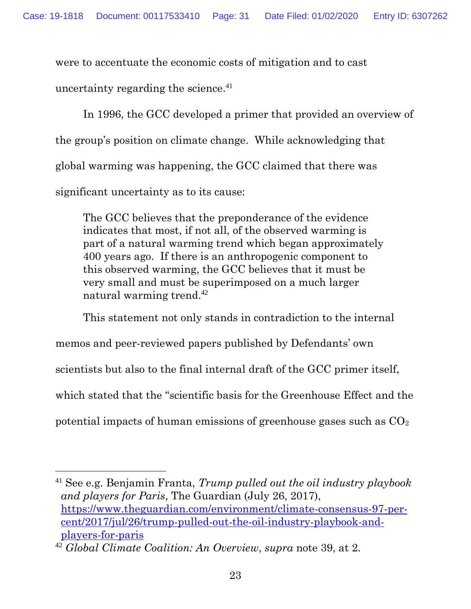were to accentuate the economic costs of mitigation and to cast

uncertainty regarding the science.<sup>41</sup>

In 1996, the GCC developed a primer that provided an overview of the group's position on climate change. While acknowledging that global warming was happening, the GCC claimed that there was significant uncertainty as to its cause:

The GCC believes that the preponderance of the evidence indicates that most, if not all, of the observed warming is part of a natural warming trend which began approximately 400 years ago. If there is an anthropogenic component to this observed warming, the GCC believes that it must be very small and must be superimposed on a much larger natural warming trend.<sup>42</sup>

This statement not only stands in contradiction to the internal

memos and peer-reviewed papers published by Defendants' own

scientists but also to the final internal draft of the GCC primer itself,

which stated that the "scientific basis for the Greenhouse Effect and the

potential impacts of human emissions of greenhouse gases such as  $CO<sub>2</sub>$ 

<sup>41</sup> See e.g. Benjamin Franta, *Trump pulled out the oil industry playbook and players for Paris*, The Guardian (July 26, 2017), [https://www.theguardian.com/environment/climate-consensus-97-per](https://www.theguardian.com/environment/climate-consensus-97-per-cent/2017/jul/26/trump-pulled-out-the-oil-industry-playbook-and-players-for-paris)[cent/2017/jul/26/trump-pulled-out-the-oil-industry-playbook-and](https://www.theguardian.com/environment/climate-consensus-97-per-cent/2017/jul/26/trump-pulled-out-the-oil-industry-playbook-and-players-for-paris)[players-for-paris](https://www.theguardian.com/environment/climate-consensus-97-per-cent/2017/jul/26/trump-pulled-out-the-oil-industry-playbook-and-players-for-paris)

<sup>42</sup> *Global Climate Coalition: An Overview*, *supra* note 39, at 2.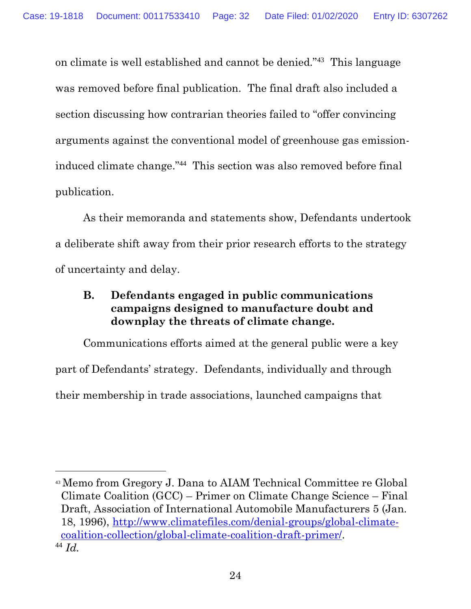on climate is well established and cannot be denied."<sup>43</sup> This language was removed before final publication. The final draft also included a section discussing how contrarian theories failed to "offer convincing arguments against the conventional model of greenhouse gas emissioninduced climate change."<sup>44</sup> This section was also removed before final publication.

As their memoranda and statements show, Defendants undertook a deliberate shift away from their prior research efforts to the strategy of uncertainty and delay.

#### <span id="page-31-0"></span>**B. Defendants engaged in public communications campaigns designed to manufacture doubt and downplay the threats of climate change.**

Communications efforts aimed at the general public were a key part of Defendants' strategy. Defendants, individually and through their membership in trade associations, launched campaigns that

<span id="page-31-1"></span><sup>43</sup> Memo from Gregory J. Dana to AIAM Technical Committee re Global Climate Coalition (GCC) – Primer on Climate Change Science – Final Draft, Association of International Automobile Manufacturers 5 (Jan. 18, 1996), [http://www.climatefiles.com/denial-groups/global-climate](http://www.climatefiles.com/denial-groups/global-climate-coalition-collection/global-climate-coalition-draft-primer/)[coalition-collection/global-climate-coalition-draft-primer/.](http://www.climatefiles.com/denial-groups/global-climate-coalition-collection/global-climate-coalition-draft-primer/) <sup>44</sup> *Id.*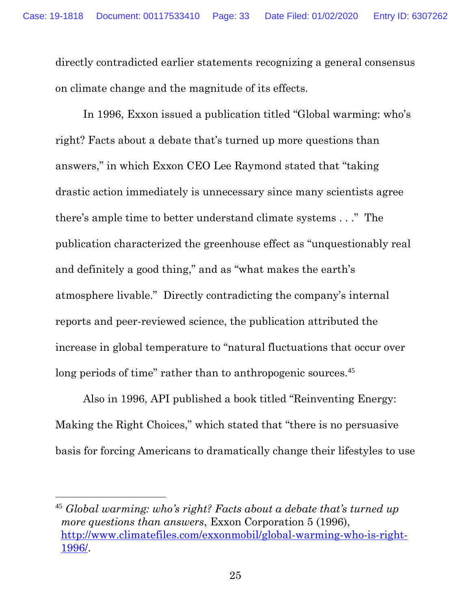directly contradicted earlier statements recognizing a general consensus on climate change and the magnitude of its effects.

In 1996, Exxon issued a publication titled "Global warming: who's right? Facts about a debate that's turned up more questions than answers," in which Exxon CEO Lee Raymond stated that "taking drastic action immediately is unnecessary since many scientists agree there's ample time to better understand climate systems . . ." The publication characterized the greenhouse effect as "unquestionably real and definitely a good thing," and as "what makes the earth's atmosphere livable." Directly contradicting the company's internal reports and peer-reviewed science, the publication attributed the increase in global temperature to "natural fluctuations that occur over long periods of time" rather than to anthropogenic sources.<sup>45</sup>

Also in 1996, API published a book titled "Reinventing Energy: Making the Right Choices," which stated that "there is no persuasive basis for forcing Americans to dramatically change their lifestyles to use

<span id="page-32-0"></span><sup>45</sup> *Global warming: who's right? Facts about a debate that's turned up more questions than answers*, Exxon Corporation 5 (1996), [http://www.climatefiles.com/exxonmobil/global-warming-who-is-right-](http://www.climatefiles.com/exxonmobil/global-warming-who-is-right-1996/)[1996/.](http://www.climatefiles.com/exxonmobil/global-warming-who-is-right-1996/)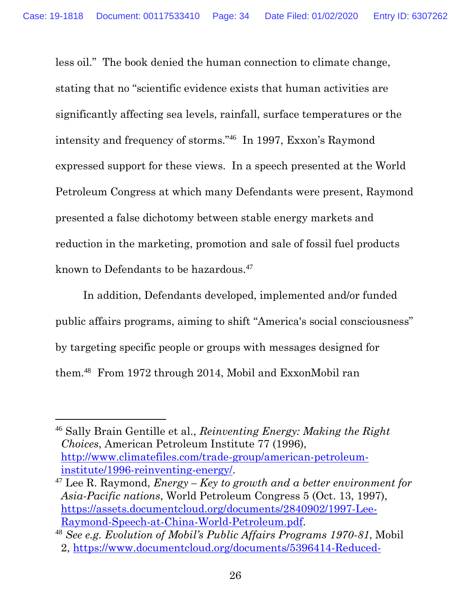<span id="page-33-1"></span>less oil." The book denied the human connection to climate change, stating that no "scientific evidence exists that human activities are significantly affecting sea levels, rainfall, surface temperatures or the intensity and frequency of storms."<sup>46</sup> In 1997, Exxon's Raymond expressed support for these views. In a speech presented at the World Petroleum Congress at which many Defendants were present, Raymond presented a false dichotomy between stable energy markets and reduction in the marketing, promotion and sale of fossil fuel products known to Defendants to be hazardous.<sup>47</sup>

In addition, Defendants developed, implemented and/or funded public affairs programs, aiming to shift "America's social consciousness" by targeting specific people or groups with messages designed for them.<sup>48</sup> From 1972 through 2014, Mobil and ExxonMobil ran

<span id="page-33-3"></span><sup>46</sup> Sally Brain Gentille et al., *Reinventing Energy: Making the Right Choices*, American Petroleum Institute 77 (1996), [http://www.climatefiles.com/trade-group/american-petroleum](http://www.climatefiles.com/trade-group/american-petroleum-institute/1996-reinventing-energy/)[institute/1996-reinventing-energy/.](http://www.climatefiles.com/trade-group/american-petroleum-institute/1996-reinventing-energy/)

<span id="page-33-2"></span><sup>47</sup> Lee R. Raymond, *Energy – Key to growth and a better environment for Asia-Pacific nations*, World Petroleum Congress 5 (Oct. 13, 1997), [https://assets.documentcloud.org/documents/2840902/1997-Lee-](https://assets.documentcloud.org/documents/2840902/1997-Lee-Raymond-Speech-at-China-World-Petroleum.pdf)[Raymond-Speech-at-China-World-Petroleum.pdf.](https://assets.documentcloud.org/documents/2840902/1997-Lee-Raymond-Speech-at-China-World-Petroleum.pdf)

<span id="page-33-0"></span><sup>48</sup> *See e.g. Evolution of Mobil's Public Affairs Programs 1970-81*, Mobil 2, [https://www.documentcloud.org/documents/5396414-Reduced-](https://www.documentcloud.org/documents/5396414-Reduced-Evolution-of-Mobil-Public-Affairs-Program.html)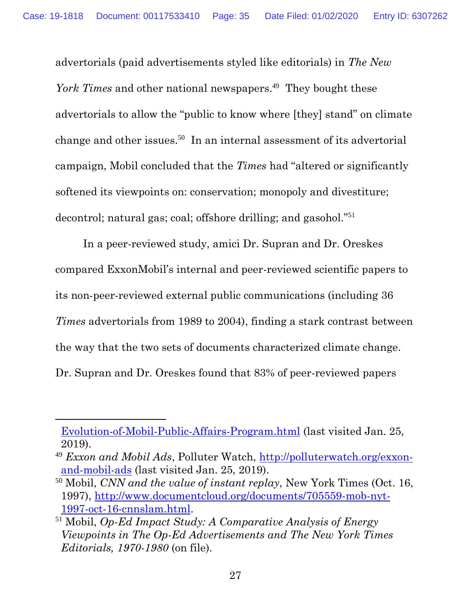advertorials (paid advertisements styled like editorials) in *The New*  York Times and other national newspapers.<sup>49</sup> They bought these advertorials to allow the "public to know where [they] stand" on climate change and other issues.<sup>50</sup> In an internal assessment of its advertorial campaign, Mobil concluded that the *Times* had "altered or significantly softened its viewpoints on: conservation; monopoly and divestiture; decontrol; natural gas; coal; offshore drilling; and gasohol."<sup>51</sup>

In a peer-reviewed study, amici Dr. Supran and Dr. Oreskes compared ExxonMobil's internal and peer-reviewed scientific papers to its non-peer-reviewed external public communications (including 36 *Times* advertorials from 1989 to 2004), finding a stark contrast between the way that the two sets of documents characterized climate change. Dr. Supran and Dr. Oreskes found that 83% of peer-reviewed papers

[Evolution-of-Mobil-Public-Affairs-Program.html](https://www.documentcloud.org/documents/5396414-Reduced-Evolution-of-Mobil-Public-Affairs-Program.html) (last visited Jan. 25, 2019).

<sup>49</sup> *Exxon and Mobil Ads*, Polluter Watch, [http://polluterwatch.org/exxon](http://polluterwatch.org/exxon-and-mobil-ads)[and-mobil-ads](http://polluterwatch.org/exxon-and-mobil-ads) (last visited Jan. 25, 2019).

<span id="page-34-0"></span><sup>50</sup> Mobil, *CNN and the value of instant replay*, New York Times (Oct. 16, 1997), [http://www.documentcloud.org/documents/705559-mob-nyt-](http://www.documentcloud.org/documents/705559-mob-nyt-1997-oct-16-cnnslam.html)[1997-oct-16-cnnslam.html.](http://www.documentcloud.org/documents/705559-mob-nyt-1997-oct-16-cnnslam.html)

<span id="page-34-1"></span><sup>51</sup> Mobil, *Op-Ed Impact Study: A Comparative Analysis of Energy Viewpoints in The Op-Ed Advertisements and The New York Times Editorials, 1970-1980* (on file).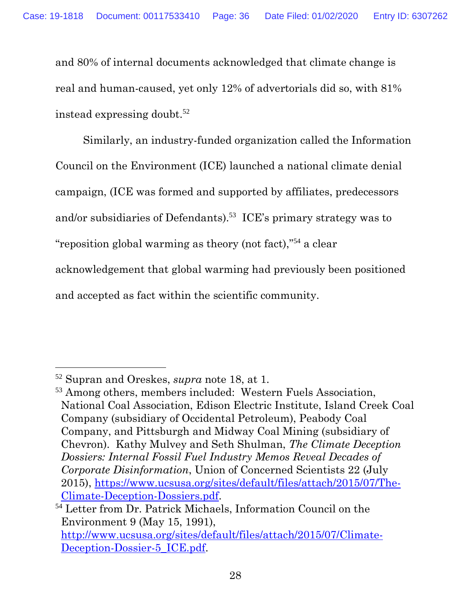and 80% of internal documents acknowledged that climate change is real and human-caused, yet only 12% of advertorials did so, with 81% instead expressing doubt.<sup>52</sup>

Similarly, an industry-funded organization called the Information Council on the Environment (ICE) launched a national climate denial campaign, (ICE was formed and supported by affiliates, predecessors and/or subsidiaries of Defendants).<sup>53</sup> ICE's primary strategy was to "reposition global warming as theory (not fact),"<sup>54</sup> a clear acknowledgement that global warming had previously been positioned and accepted as fact within the scientific community.

<span id="page-35-0"></span><sup>52</sup> Supran and Oreskes, *supra* note 18, at 1.

<span id="page-35-1"></span><sup>53</sup> Among others, members included: Western Fuels Association, National Coal Association, Edison Electric Institute, Island Creek Coal Company (subsidiary of Occidental Petroleum), Peabody Coal Company, and Pittsburgh and Midway Coal Mining (subsidiary of Chevron). Kathy Mulvey and Seth Shulman, *The Climate Deception Dossiers: Internal Fossil Fuel Industry Memos Reveal Decades of Corporate Disinformation*, Union of Concerned Scientists 22 (July 2015), [https://www.ucsusa.org/sites/default/files/attach/2015/07/The-](https://www.ucsusa.org/sites/default/files/attach/2015/07/The-Climate-Deception-Dossiers.pdf)[Climate-Deception-Dossiers.pdf.](https://www.ucsusa.org/sites/default/files/attach/2015/07/The-Climate-Deception-Dossiers.pdf)

<span id="page-35-2"></span><sup>54</sup> Letter from Dr. Patrick Michaels, Information Council on the Environment 9 (May 15, 1991),

[http://www.ucsusa.org/sites/default/files/attach/2015/07/Climate-](www.ucsusa.org/sites/default/files/attach/2015/07/Climate-Deception-Dossier-5_ICE.pdf)[Deception-Dossier-5\\_ICE.pdf.](www.ucsusa.org/sites/default/files/attach/2015/07/Climate-Deception-Dossier-5_ICE.pdf)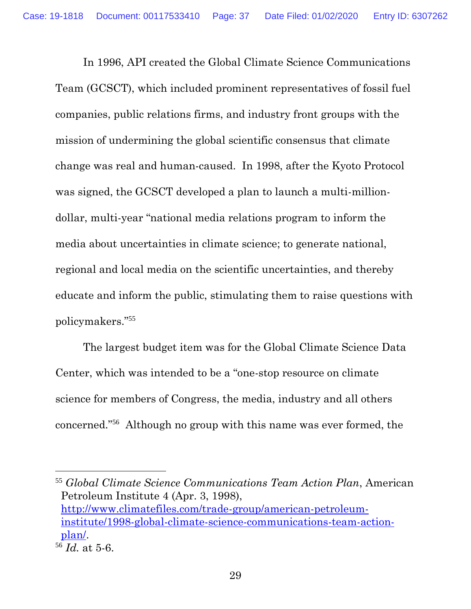In 1996, API created the Global Climate Science Communications Team (GCSCT), which included prominent representatives of fossil fuel companies, public relations firms, and industry front groups with the mission of undermining the global scientific consensus that climate change was real and human-caused. In 1998, after the Kyoto Protocol was signed, the GCSCT developed a plan to launch a multi-milliondollar, multi-year "national media relations program to inform the media about uncertainties in climate science; to generate national, regional and local media on the scientific uncertainties, and thereby educate and inform the public, stimulating them to raise questions with policymakers."<sup>55</sup>

The largest budget item was for the Global Climate Science Data Center, which was intended to be a "one-stop resource on climate science for members of Congress, the media, industry and all others concerned."<sup>56</sup> Although no group with this name was ever formed, the

<span id="page-36-0"></span><sup>55</sup> *Global Climate Science Communications Team Action Plan*, American Petroleum Institute 4 (Apr. 3, 1998), [http://www.climatefiles.com/trade-group/american-petroleum](http://www.climatefiles.com/trade-group/american-petroleum-institute/1998-global-climate-science-communications-team-action-plan/)[institute/1998-global-climate-science-communications-team-action](http://www.climatefiles.com/trade-group/american-petroleum-institute/1998-global-climate-science-communications-team-action-plan/)[plan/.](http://www.climatefiles.com/trade-group/american-petroleum-institute/1998-global-climate-science-communications-team-action-plan/)

<sup>56</sup> *Id.* at 5-6.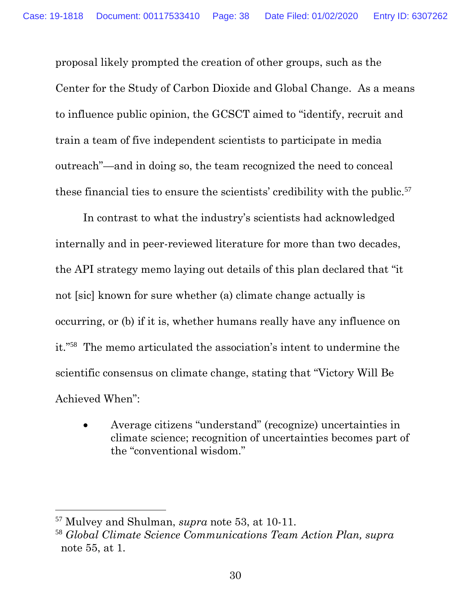proposal likely prompted the creation of other groups, such as the Center for the Study of Carbon Dioxide and Global Change. As a means to influence public opinion, the GCSCT aimed to "identify, recruit and train a team of five independent scientists to participate in media outreach"—and in doing so, the team recognized the need to conceal these financial ties to ensure the scientists' credibility with the public.<sup>57</sup>

In contrast to what the industry's scientists had acknowledged internally and in peer-reviewed literature for more than two decades, the API strategy memo laying out details of this plan declared that "it not [sic] known for sure whether (a) climate change actually is occurring, or (b) if it is, whether humans really have any influence on it."<sup>58</sup> The memo articulated the association's intent to undermine the scientific consensus on climate change, stating that "Victory Will Be Achieved When":

• Average citizens "understand" (recognize) uncertainties in climate science; recognition of uncertainties becomes part of the "conventional wisdom."

<span id="page-37-1"></span><sup>57</sup> Mulvey and Shulman, *supra* note 53, at 10-11.

<span id="page-37-0"></span><sup>58</sup> *Global Climate Science Communications Team Action Plan, supra* note 55, at 1.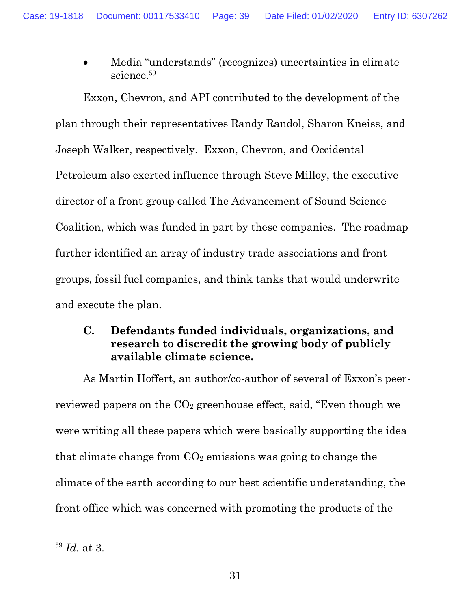• Media "understands" (recognizes) uncertainties in climate science.<sup>59</sup>

Exxon, Chevron, and API contributed to the development of the plan through their representatives Randy Randol, Sharon Kneiss, and Joseph Walker, respectively. Exxon, Chevron, and Occidental Petroleum also exerted influence through Steve Milloy, the executive director of a front group called The Advancement of Sound Science Coalition, which was funded in part by these companies. The roadmap further identified an array of industry trade associations and front groups, fossil fuel companies, and think tanks that would underwrite and execute the plan.

### <span id="page-38-0"></span>**C. Defendants funded individuals, organizations, and research to discredit the growing body of publicly available climate science.**

As Martin Hoffert, an author/co-author of several of Exxon's peerreviewed papers on the  $CO<sub>2</sub>$  greenhouse effect, said, "Even though we were writing all these papers which were basically supporting the idea that climate change from  $CO<sub>2</sub>$  emissions was going to change the climate of the earth according to our best scientific understanding, the front office which was concerned with promoting the products of the

<span id="page-38-1"></span><sup>59</sup> *Id.* at 3.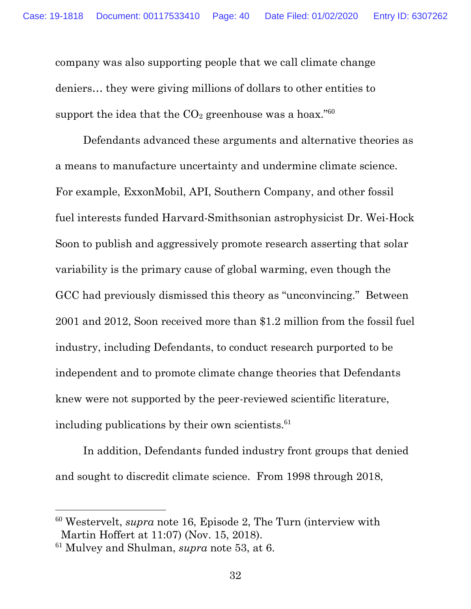company was also supporting people that we call climate change deniers… they were giving millions of dollars to other entities to support the idea that the  $CO<sub>2</sub>$  greenhouse was a hoax."<sup>60</sup>

Defendants advanced these arguments and alternative theories as a means to manufacture uncertainty and undermine climate science. For example, ExxonMobil, API, Southern Company, and other fossil fuel interests funded Harvard-Smithsonian astrophysicist Dr. Wei-Hock Soon to publish and aggressively promote research asserting that solar variability is the primary cause of global warming, even though the GCC had previously dismissed this theory as "unconvincing." Between 2001 and 2012, Soon received more than \$1.2 million from the fossil fuel industry, including Defendants, to conduct research purported to be independent and to promote climate change theories that Defendants knew were not supported by the peer-reviewed scientific literature, including publications by their own scientists.<sup>61</sup>

In addition, Defendants funded industry front groups that denied and sought to discredit climate science. From 1998 through 2018,

<sup>60</sup> Westervelt, *supra* note 16, Episode 2, The Turn (interview with Martin Hoffert at 11:07) (Nov. 15, 2018).

<span id="page-39-0"></span><sup>61</sup> Mulvey and Shulman, *supra* note 53, at 6.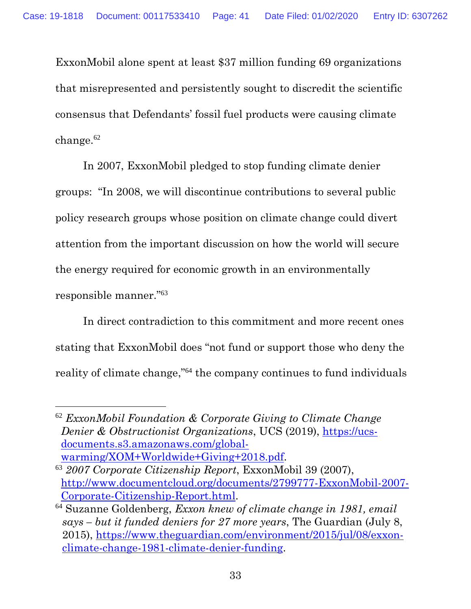ExxonMobil alone spent at least \$37 million funding 69 organizations that misrepresented and persistently sought to discredit the scientific consensus that Defendants' fossil fuel products were causing climate change. $62$ 

In 2007, ExxonMobil pledged to stop funding climate denier groups: "In 2008, we will discontinue contributions to several public policy research groups whose position on climate change could divert attention from the important discussion on how the world will secure the energy required for economic growth in an environmentally responsible manner."<sup>63</sup>

In direct contradiction to this commitment and more recent ones stating that ExxonMobil does "not fund or support those who deny the reality of climate change,"<sup>64</sup> the company continues to fund individuals

<span id="page-40-1"></span><sup>62</sup> *ExxonMobil Foundation & Corporate Giving to Climate Change Denier & Obstructionist Organizations*, UCS (2019), [https://ucs](https://ucs-documents.s3.amazonaws.com/global-warming/XOM+Worldwide+Giving+2018.pdf)[documents.s3.amazonaws.com/global](https://ucs-documents.s3.amazonaws.com/global-warming/XOM+Worldwide+Giving+2018.pdf)[warming/XOM+Worldwide+Giving+2018.pdf.](https://ucs-documents.s3.amazonaws.com/global-warming/XOM+Worldwide+Giving+2018.pdf)

<span id="page-40-0"></span><sup>63</sup> *2007 Corporate Citizenship Report*, ExxonMobil 39 (2007), [http://www.documentcloud.org/documents/2799777-ExxonMobil-2007-](http://www.documentcloud.org/documents/2799777-ExxonMobil-2007-Corporate-Citizenship-Report.html) [Corporate-Citizenship-Report.html.](http://www.documentcloud.org/documents/2799777-ExxonMobil-2007-Corporate-Citizenship-Report.html)

<span id="page-40-2"></span><sup>64</sup> Suzanne Goldenberg, *Exxon knew of climate change in 1981, email says – but it funded deniers for 27 more years*, The Guardian (July 8, 2015), [https://www.theguardian.com/environment/2015/jul/08/exxon](https://www.theguardian.com/environment/2015/jul/08/exxon-climate-change-1981-climate-denier-funding)[climate-change-1981-climate-denier-funding.](https://www.theguardian.com/environment/2015/jul/08/exxon-climate-change-1981-climate-denier-funding)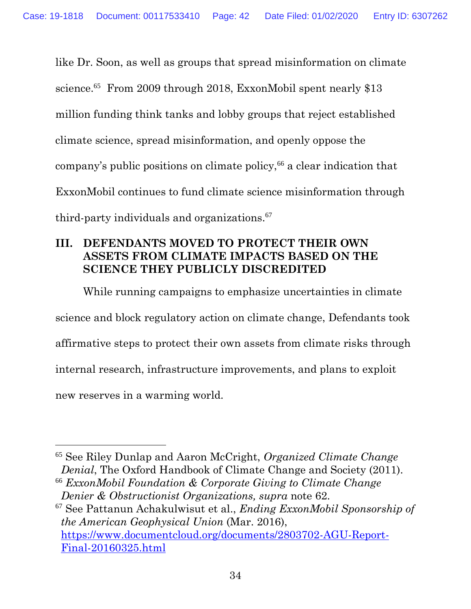like Dr. Soon, as well as groups that spread misinformation on climate science.<sup>65</sup> From 2009 through 2018, ExxonMobil spent nearly \$13 million funding think tanks and lobby groups that reject established climate science, spread misinformation, and openly oppose the company's public positions on climate policy,<sup>66</sup> a clear indication that ExxonMobil continues to fund climate science misinformation through third-party individuals and organizations. 67

## <span id="page-41-0"></span>**III. DEFENDANTS MOVED TO PROTECT THEIR OWN ASSETS FROM CLIMATE IMPACTS BASED ON THE SCIENCE THEY PUBLICLY DISCREDITED**

While running campaigns to emphasize uncertainties in climate science and block regulatory action on climate change, Defendants took affirmative steps to protect their own assets from climate risks through internal research, infrastructure improvements, and plans to exploit new reserves in a warming world.

<span id="page-41-2"></span>

<sup>67</sup> See Pattanun Achakulwisut et al., *Ending ExxonMobil Sponsorship of the American Geophysical Union* (Mar. 2016), [https://www.documentcloud.org/documents/2803702-AGU-Report-](https://www.documentcloud.org/documents/2803702-AGU-Report-Final-20160325.html)[Final-20160325.html](https://www.documentcloud.org/documents/2803702-AGU-Report-Final-20160325.html)

<sup>65</sup> See Riley Dunlap and Aaron McCright, *Organized Climate Change Denial*, The Oxford Handbook of Climate Change and Society (2011).

<span id="page-41-1"></span><sup>66</sup> *ExxonMobil Foundation & Corporate Giving to Climate Change Denier & Obstructionist Organizations, supra* note 62.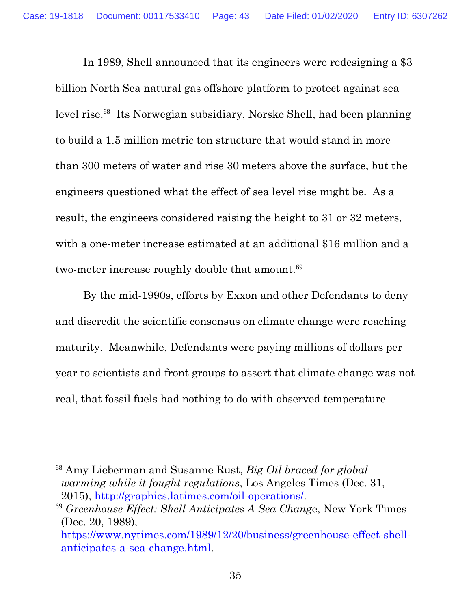In 1989, Shell announced that its engineers were redesigning a \$3 billion North Sea natural gas offshore platform to protect against sea level rise.<sup>68</sup> Its Norwegian subsidiary, Norske Shell, had been planning to build a 1.5 million metric ton structure that would stand in more than 300 meters of water and rise 30 meters above the surface, but the engineers questioned what the effect of sea level rise might be. As a result, the engineers considered raising the height to 31 or 32 meters, with a one-meter increase estimated at an additional \$16 million and a two-meter increase roughly double that amount.<sup>69</sup>

By the mid-1990s, efforts by Exxon and other Defendants to deny and discredit the scientific consensus on climate change were reaching maturity. Meanwhile, Defendants were paying millions of dollars per year to scientists and front groups to assert that climate change was not real, that fossil fuels had nothing to do with observed temperature

<span id="page-42-0"></span> <sup>68</sup> Amy Lieberman and Susanne Rust, *Big Oil braced for global warming while it fought regulations*, Los Angeles Times (Dec. 31, 2015), [http://graphics.latimes.com/oil-operations/.](http://graphics.latimes.com/oil-operations/)

<span id="page-42-1"></span><sup>69</sup> *Greenhouse Effect: Shell Anticipates A Sea Chang*e, New York Times (Dec. 20, 1989),

[https://www.nytimes.com/1989/12/20/business/greenhouse-effect-shell](https://www.nytimes.com/1989/12/20/business/greenhouse-effect-shell-anticipates-a-sea-change.html)[anticipates-a-sea-change.html.](https://www.nytimes.com/1989/12/20/business/greenhouse-effect-shell-anticipates-a-sea-change.html)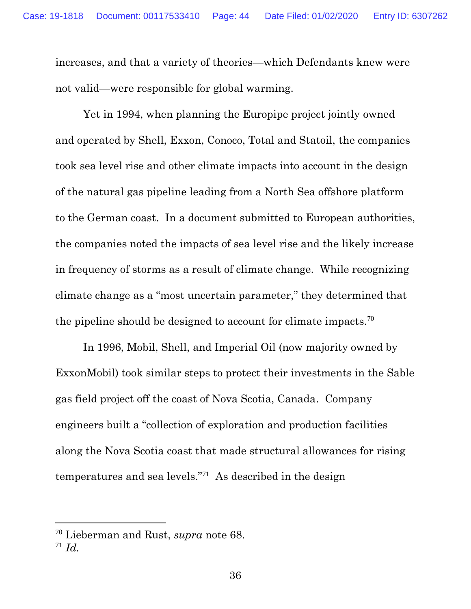increases, and that a variety of theories—which Defendants knew were not valid—were responsible for global warming.

Yet in 1994, when planning the Europipe project jointly owned and operated by Shell, Exxon, Conoco, Total and Statoil, the companies took sea level rise and other climate impacts into account in the design of the natural gas pipeline leading from a North Sea offshore platform to the German coast. In a document submitted to European authorities, the companies noted the impacts of sea level rise and the likely increase in frequency of storms as a result of climate change. While recognizing climate change as a "most uncertain parameter," they determined that the pipeline should be designed to account for climate impacts.<sup>70</sup>

In 1996, Mobil, Shell, and Imperial Oil (now majority owned by ExxonMobil) took similar steps to protect their investments in the Sable gas field project off the coast of Nova Scotia, Canada. Company engineers built a "collection of exploration and production facilities along the Nova Scotia coast that made structural allowances for rising temperatures and sea levels."<sup>71</sup> As described in the design

<span id="page-43-0"></span><sup>70</sup> Lieberman and Rust, *supra* note 68.

<sup>71</sup> *Id.*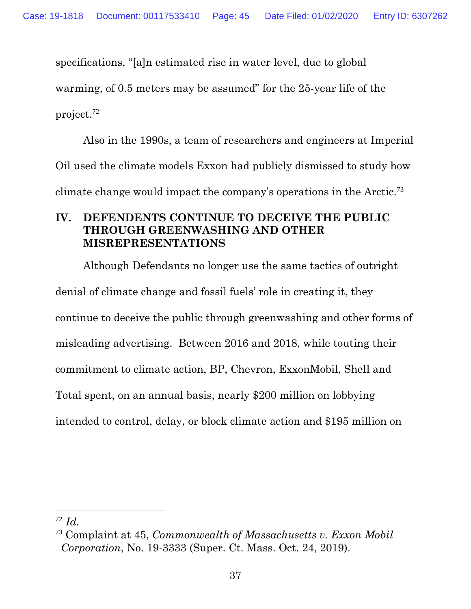specifications, "[a]n estimated rise in water level, due to global

warming, of 0.5 meters may be assumed" for the 25-year life of the

project.<sup>72</sup>

Also in the 1990s, a team of researchers and engineers at Imperial Oil used the climate models Exxon had publicly dismissed to study how climate change would impact the company's operations in the Arctic.<sup>73</sup>

### <span id="page-44-0"></span>**IV. DEFENDENTS CONTINUE TO DECEIVE THE PUBLIC THROUGH GREENWASHING AND OTHER MISREPRESENTATIONS**

Although Defendants no longer use the same tactics of outright denial of climate change and fossil fuels' role in creating it, they continue to deceive the public through greenwashing and other forms of misleading advertising. Between 2016 and 2018, while touting their commitment to climate action, BP, Chevron, ExxonMobil, Shell and Total spent, on an annual basis, nearly \$200 million on lobbying intended to control, delay, or block climate action and \$195 million on

<span id="page-44-1"></span><sup>72</sup> *Id.*

<sup>73</sup> Complaint at 45, *Commonwealth of Massachusetts v. Exxon Mobil Corporation*, No. 19-3333 (Super. Ct. Mass. Oct. 24, 2019).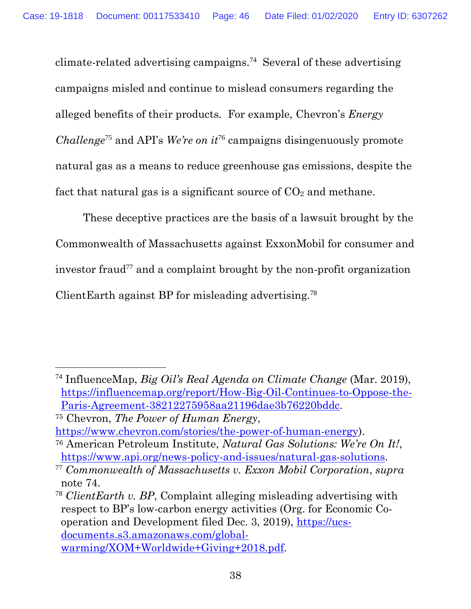climate-related advertising campaigns. 74 Several of these advertising campaigns misled and continue to mislead consumers regarding the alleged benefits of their products. For example, Chevron's *Energy Challenge*<sup>75</sup> and API's *We're on it*<sup>76</sup> campaigns disingenuously promote natural gas as a means to reduce greenhouse gas emissions, despite the fact that natural gas is a significant source of  $CO<sub>2</sub>$  and methane.

These deceptive practices are the basis of a lawsuit brought by the Commonwealth of Massachusetts against ExxonMobil for consumer and investor fraud<sup>77</sup> and a complaint brought by the non-profit organization ClientEarth against BP for misleading advertising.<sup>78</sup>

<sup>74</sup> InfluenceMap, *Big Oil's Real Agenda on Climate Change* (Mar. 2019), [https://influencemap.org/report/How-Big-Oil-Continues-to-Oppose-the-](https://influencemap.org/report/How-Big-Oil-Continues-to-Oppose-the-Paris-Agreement-38212275958aa21196dae3b76220bddc)[Paris-Agreement-38212275958aa21196dae3b76220bddc.](https://influencemap.org/report/How-Big-Oil-Continues-to-Oppose-the-Paris-Agreement-38212275958aa21196dae3b76220bddc)

<sup>75</sup> Chevron, *The Power of Human Energy*,

[https://www.chevron.com/stories/the-power-of-human-energy\)](https://www.chevron.com/stories/the-power-of-human-energy). <sup>76</sup> American Petroleum Institute, *Natural Gas Solutions: We're On It!*,

[https://www.api.org/news-policy-and-issues/natural-gas-solutions.](https://www.api.org/news-policy-and-issues/natural-gas-solutions)

<sup>77</sup> *Commonwealth of Massachusetts v. Exxon Mobil Corporation*, *supra*  note 74.

<sup>78</sup> *ClientEarth v. BP*, Complaint alleging misleading advertising with respect to BP's low-carbon energy activities (Org. for Economic Cooperation and Development filed Dec. 3, 2019), [https://ucs](https://ucs-documents.s3.amazonaws.com/global-warming/XOM+Worldwide+Giving+2018.pdf)[documents.s3.amazonaws.com/global](https://ucs-documents.s3.amazonaws.com/global-warming/XOM+Worldwide+Giving+2018.pdf)[warming/XOM+Worldwide+Giving+2018.pdf.](https://ucs-documents.s3.amazonaws.com/global-warming/XOM+Worldwide+Giving+2018.pdf)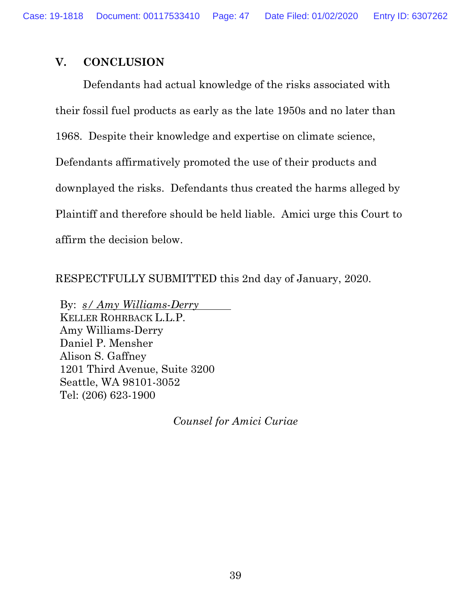Case: 19-1818 Document: 00117533410 Page: 47 Date Filed: 01/02/2020 Entry ID: 6307262

#### <span id="page-46-0"></span>**V. CONCLUSION**

Defendants had actual knowledge of the risks associated with their fossil fuel products as early as the late 1950s and no later than 1968. Despite their knowledge and expertise on climate science, Defendants affirmatively promoted the use of their products and downplayed the risks. Defendants thus created the harms alleged by Plaintiff and therefore should be held liable. Amici urge this Court to affirm the decision below.

RESPECTFULLY SUBMITTED this 2nd day of January, 2020.

By: *s/ Amy Williams-Derry* KELLER ROHRBACK L.L.P. Amy Williams-Derry Daniel P. Mensher Alison S. Gaffney 1201 Third Avenue, Suite 3200 Seattle, WA 98101-3052 Tel: (206) 623-1900

*Counsel for Amici Curiae*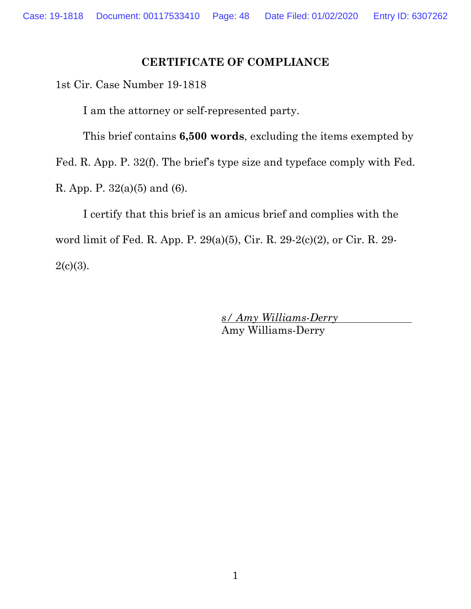#### **CERTIFICATE OF COMPLIANCE**

1st Cir. Case Number 19-1818

I am the attorney or self-represented party.

This brief contains **6,500 words**, excluding the items exempted by

Fed. R. App. P. 32(f). The brief's type size and typeface comply with Fed.

R. App. P. 32(a)(5) and (6).

I certify that this brief is an amicus brief and complies with the word limit of Fed. R. App. P. 29(a)(5), Cir. R. 29-2(c)(2), or Cir. R. 29-  $2(c)(3)$ .

> *s/ Amy Williams-Derry* Amy Williams-Derry